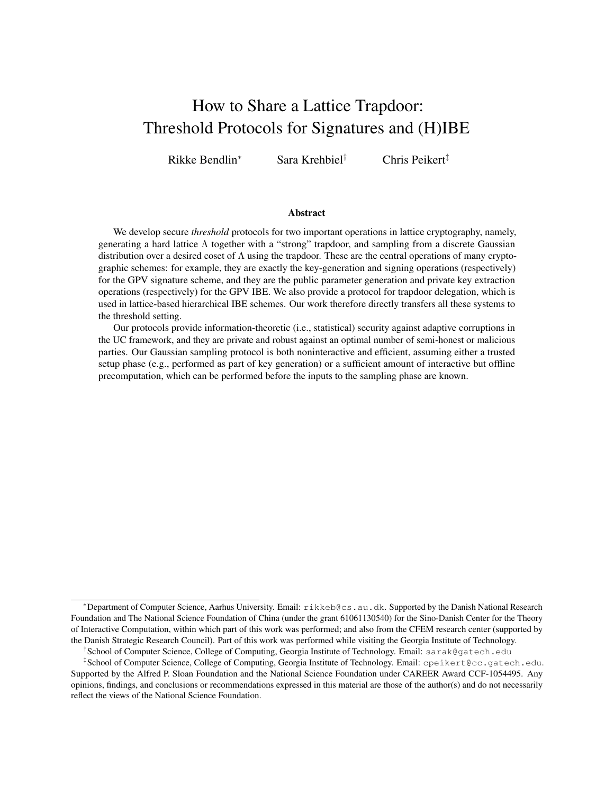# How to Share a Lattice Trapdoor: Threshold Protocols for Signatures and (H)IBE

Rikke Bendlin<sup>∗</sup> Sara Krehbiel† Chris Peikert‡

#### Abstract

We develop secure *threshold* protocols for two important operations in lattice cryptography, namely, generating a hard lattice Λ together with a "strong" trapdoor, and sampling from a discrete Gaussian distribution over a desired coset of  $\Lambda$  using the trapdoor. These are the central operations of many cryptographic schemes: for example, they are exactly the key-generation and signing operations (respectively) for the GPV signature scheme, and they are the public parameter generation and private key extraction operations (respectively) for the GPV IBE. We also provide a protocol for trapdoor delegation, which is used in lattice-based hierarchical IBE schemes. Our work therefore directly transfers all these systems to the threshold setting.

Our protocols provide information-theoretic (i.e., statistical) security against adaptive corruptions in the UC framework, and they are private and robust against an optimal number of semi-honest or malicious parties. Our Gaussian sampling protocol is both noninteractive and efficient, assuming either a trusted setup phase (e.g., performed as part of key generation) or a sufficient amount of interactive but offline precomputation, which can be performed before the inputs to the sampling phase are known.

<sup>∗</sup>Department of Computer Science, Aarhus University. Email: rikkeb@cs.au.dk. Supported by the Danish National Research Foundation and The National Science Foundation of China (under the grant 61061130540) for the Sino-Danish Center for the Theory of Interactive Computation, within which part of this work was performed; and also from the CFEM research center (supported by the Danish Strategic Research Council). Part of this work was performed while visiting the Georgia Institute of Technology.

<sup>†</sup> School of Computer Science, College of Computing, Georgia Institute of Technology. Email: sarak@gatech.edu

<sup>‡</sup> School of Computer Science, College of Computing, Georgia Institute of Technology. Email: cpeikert@cc.gatech.edu. Supported by the Alfred P. Sloan Foundation and the National Science Foundation under CAREER Award CCF-1054495. Any opinions, findings, and conclusions or recommendations expressed in this material are those of the author(s) and do not necessarily reflect the views of the National Science Foundation.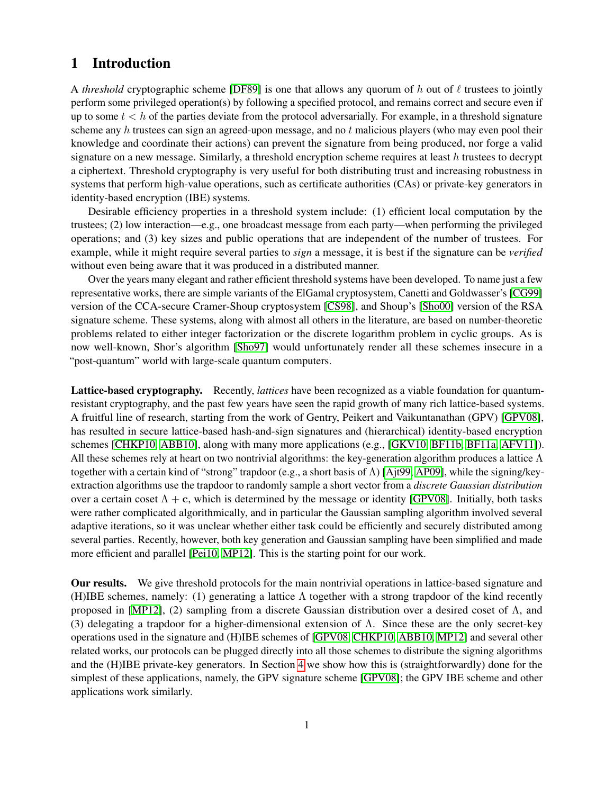# 1 Introduction

A *threshold* cryptographic scheme [\[DF89\]](#page-19-0) is one that allows any quorum of h out of  $\ell$  trustees to jointly perform some privileged operation(s) by following a specified protocol, and remains correct and secure even if up to some  $t < h$  of the parties deviate from the protocol adversarially. For example, in a threshold signature scheme any  $h$  trustees can sign an agreed-upon message, and no  $t$  malicious players (who may even pool their knowledge and coordinate their actions) can prevent the signature from being produced, nor forge a valid signature on a new message. Similarly, a threshold encryption scheme requires at least  $h$  trustees to decrypt a ciphertext. Threshold cryptography is very useful for both distributing trust and increasing robustness in systems that perform high-value operations, such as certificate authorities (CAs) or private-key generators in identity-based encryption (IBE) systems.

Desirable efficiency properties in a threshold system include: (1) efficient local computation by the trustees; (2) low interaction—e.g., one broadcast message from each party—when performing the privileged operations; and (3) key sizes and public operations that are independent of the number of trustees. For example, while it might require several parties to *sign* a message, it is best if the signature can be *verified* without even being aware that it was produced in a distributed manner.

Over the years many elegant and rather efficient threshold systems have been developed. To name just a few representative works, there are simple variants of the ElGamal cryptosystem, Canetti and Goldwasser's [\[CG99\]](#page-18-0) version of the CCA-secure Cramer-Shoup cryptosystem [\[CS98\]](#page-19-1), and Shoup's [\[Sho00\]](#page-20-0) version of the RSA signature scheme. These systems, along with almost all others in the literature, are based on number-theoretic problems related to either integer factorization or the discrete logarithm problem in cyclic groups. As is now well-known, Shor's algorithm [\[Sho97\]](#page-20-1) would unfortunately render all these schemes insecure in a "post-quantum" world with large-scale quantum computers.

Lattice-based cryptography. Recently, *lattices* have been recognized as a viable foundation for quantumresistant cryptography, and the past few years have seen the rapid growth of many rich lattice-based systems. A fruitful line of research, starting from the work of Gentry, Peikert and Vaikuntanathan (GPV) [\[GPV08\]](#page-19-2), has resulted in secure lattice-based hash-and-sign signatures and (hierarchical) identity-based encryption schemes [\[CHKP10,](#page-19-3) [ABB10\]](#page-17-0), along with many more applications (e.g., [\[GKV10,](#page-19-4) [BF11b,](#page-18-1) [BF11a,](#page-18-2) [AFV11\]](#page-17-1)). All these schemes rely at heart on two nontrivial algorithms: the key-generation algorithm produces a lattice  $\Lambda$ together with a certain kind of "strong" trapdoor (e.g., a short basis of Λ) [\[Ajt99,](#page-17-2) [AP09\]](#page-18-3), while the signing/keyextraction algorithms use the trapdoor to randomly sample a short vector from a *discrete Gaussian distribution* over a certain coset  $\Lambda + c$ , which is determined by the message or identity [\[GPV08\]](#page-19-2). Initially, both tasks were rather complicated algorithmically, and in particular the Gaussian sampling algorithm involved several adaptive iterations, so it was unclear whether either task could be efficiently and securely distributed among several parties. Recently, however, both key generation and Gaussian sampling have been simplified and made more efficient and parallel [\[Pei10,](#page-19-5) [MP12\]](#page-19-6). This is the starting point for our work.

Our results. We give threshold protocols for the main nontrivial operations in lattice-based signature and (H)IBE schemes, namely: (1) generating a lattice  $\Lambda$  together with a strong trapdoor of the kind recently proposed in [\[MP12\]](#page-19-6), (2) sampling from a discrete Gaussian distribution over a desired coset of  $Λ$ , and (3) delegating a trapdoor for a higher-dimensional extension of Λ. Since these are the only secret-key operations used in the signature and (H)IBE schemes of [\[GPV08,](#page-19-2) [CHKP10,](#page-19-3) [ABB10,](#page-17-0) [MP12\]](#page-19-6) and several other related works, our protocols can be plugged directly into all those schemes to distribute the signing algorithms and the (H)IBE private-key generators. In Section [4](#page-15-0) we show how this is (straightforwardly) done for the simplest of these applications, namely, the GPV signature scheme [\[GPV08\]](#page-19-2); the GPV IBE scheme and other applications work similarly.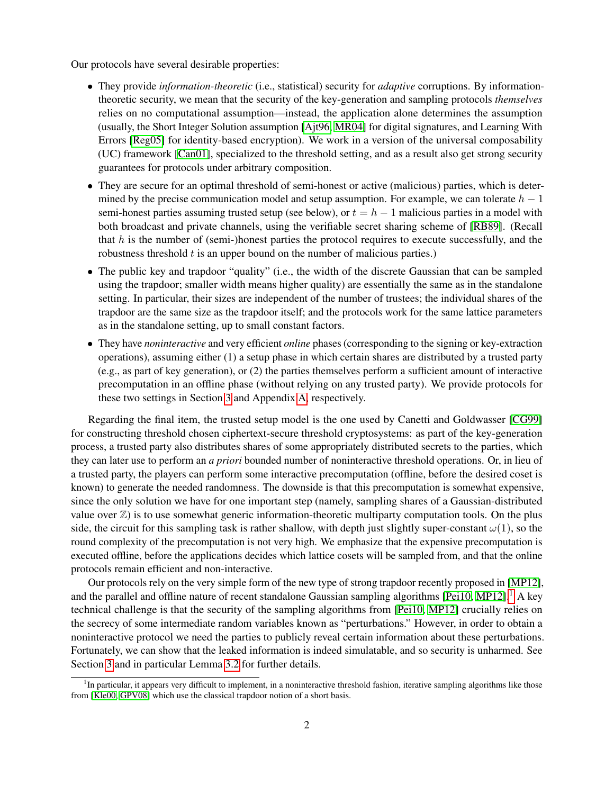Our protocols have several desirable properties:

- They provide *information-theoretic* (i.e., statistical) security for *adaptive* corruptions. By informationtheoretic security, we mean that the security of the key-generation and sampling protocols *themselves* relies on no computational assumption—instead, the application alone determines the assumption (usually, the Short Integer Solution assumption [\[Ajt96,](#page-17-3) [MR04\]](#page-19-7) for digital signatures, and Learning With Errors [\[Reg05\]](#page-20-2) for identity-based encryption). We work in a version of the universal composability (UC) framework [\[Can01\]](#page-18-4), specialized to the threshold setting, and as a result also get strong security guarantees for protocols under arbitrary composition.
- They are secure for an optimal threshold of semi-honest or active (malicious) parties, which is determined by the precise communication model and setup assumption. For example, we can tolerate  $h - 1$ semi-honest parties assuming trusted setup (see below), or  $t = h - 1$  malicious parties in a model with both broadcast and private channels, using the verifiable secret sharing scheme of [\[RB89\]](#page-20-3). (Recall that  $h$  is the number of (semi-)honest parties the protocol requires to execute successfully, and the robustness threshold  $t$  is an upper bound on the number of malicious parties.)
- The public key and trapdoor "quality" (i.e., the width of the discrete Gaussian that can be sampled using the trapdoor; smaller width means higher quality) are essentially the same as in the standalone setting. In particular, their sizes are independent of the number of trustees; the individual shares of the trapdoor are the same size as the trapdoor itself; and the protocols work for the same lattice parameters as in the standalone setting, up to small constant factors.
- They have *noninteractive* and very efficient *online* phases (corresponding to the signing or key-extraction operations), assuming either (1) a setup phase in which certain shares are distributed by a trusted party (e.g., as part of key generation), or (2) the parties themselves perform a sufficient amount of interactive precomputation in an offline phase (without relying on any trusted party). We provide protocols for these two settings in Section [3](#page-8-0) and Appendix [A,](#page-20-4) respectively.

Regarding the final item, the trusted setup model is the one used by Canetti and Goldwasser [\[CG99\]](#page-18-0) for constructing threshold chosen ciphertext-secure threshold cryptosystems: as part of the key-generation process, a trusted party also distributes shares of some appropriately distributed secrets to the parties, which they can later use to perform an *a priori* bounded number of noninteractive threshold operations. Or, in lieu of a trusted party, the players can perform some interactive precomputation (offline, before the desired coset is known) to generate the needed randomness. The downside is that this precomputation is somewhat expensive, since the only solution we have for one important step (namely, sampling shares of a Gaussian-distributed value over  $\mathbb{Z}$ ) is to use somewhat generic information-theoretic multiparty computation tools. On the plus side, the circuit for this sampling task is rather shallow, with depth just slightly super-constant  $\omega(1)$ , so the round complexity of the precomputation is not very high. We emphasize that the expensive precomputation is executed offline, before the applications decides which lattice cosets will be sampled from, and that the online protocols remain efficient and non-interactive.

Our protocols rely on the very simple form of the new type of strong trapdoor recently proposed in [\[MP12\]](#page-19-6), and the parallel and offline nature of recent standalone Gaussian sampling algorithms  $[Pei10, MP12]$  $[Pei10, MP12]$  $[Pei10, MP12]$ .<sup>[1](#page-2-0)</sup> A key technical challenge is that the security of the sampling algorithms from [\[Pei10,](#page-19-5) [MP12\]](#page-19-6) crucially relies on the secrecy of some intermediate random variables known as "perturbations." However, in order to obtain a noninteractive protocol we need the parties to publicly reveal certain information about these perturbations. Fortunately, we can show that the leaked information is indeed simulatable, and so security is unharmed. See Section [3](#page-8-0) and in particular Lemma [3.2](#page-10-0) for further details.

<span id="page-2-0"></span><sup>&</sup>lt;sup>1</sup>In particular, it appears very difficult to implement, in a noninteractive threshold fashion, iterative sampling algorithms like those from [\[Kle00,](#page-19-8) [GPV08\]](#page-19-2) which use the classical trapdoor notion of a short basis.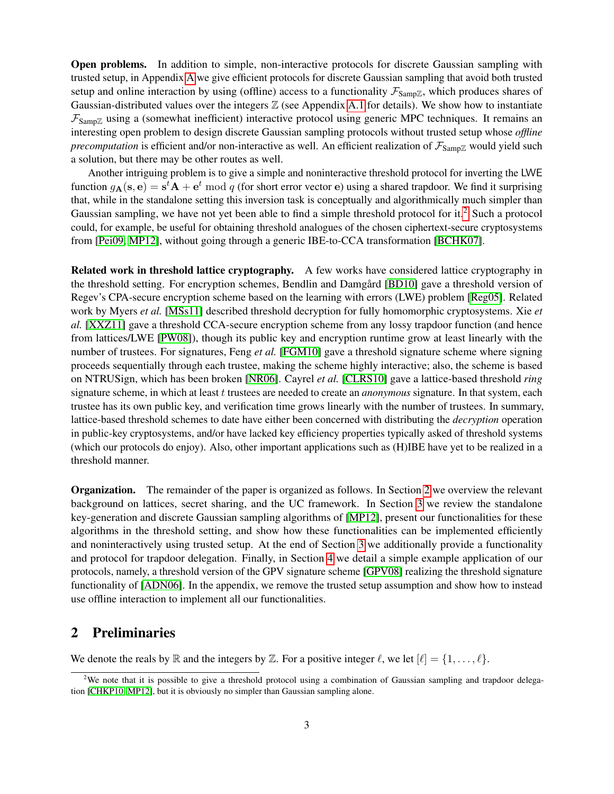Open problems. In addition to simple, non-interactive protocols for discrete Gaussian sampling with trusted setup, in Appendix [A](#page-20-4) we give efficient protocols for discrete Gaussian sampling that avoid both trusted setup and online interaction by using (offline) access to a functionality  $\mathcal{F}_{Samp\mathbb{Z}}$ , which produces shares of Gaussian-distributed values over the integers  $\mathbb Z$  (see Appendix [A.1](#page-20-5) for details). We show how to instantiate  $\mathcal{F}_{\text{SampZ}}$  using a (somewhat inefficient) interactive protocol using generic MPC techniques. It remains an interesting open problem to design discrete Gaussian sampling protocols without trusted setup whose *offline precomputation* is efficient and/or non-interactive as well. An efficient realization of  $\mathcal{F}_{SampZ}$  would yield such a solution, but there may be other routes as well.

Another intriguing problem is to give a simple and noninteractive threshold protocol for inverting the LWE function  $g_{\bf A}({\bf s},{\bf e})={\bf s}^t{\bf A}+{\bf e}^t\ {\rm mod}\ q$  (for short error vector  ${\bf e}$ ) using a shared trapdoor. We find it surprising that, while in the standalone setting this inversion task is conceptually and algorithmically much simpler than Gaussian sampling, we have not yet been able to find a simple threshold protocol for it.<sup>[2](#page-3-0)</sup> Such a protocol could, for example, be useful for obtaining threshold analogues of the chosen ciphertext-secure cryptosystems from [\[Pei09,](#page-19-9) [MP12\]](#page-19-6), without going through a generic IBE-to-CCA transformation [\[BCHK07\]](#page-18-5).

Related work in threshold lattice cryptography. A few works have considered lattice cryptography in the threshold setting. For encryption schemes, Bendlin and Damgård [[BD10\]](#page-18-6) gave a threshold version of Regev's CPA-secure encryption scheme based on the learning with errors (LWE) problem [\[Reg05\]](#page-20-2). Related work by Myers *et al.* [\[MSs11\]](#page-19-10) described threshold decryption for fully homomorphic cryptosystems. Xie *et al.* [\[XXZ11\]](#page-20-6) gave a threshold CCA-secure encryption scheme from any lossy trapdoor function (and hence from lattices/LWE [\[PW08\]](#page-20-7)), though its public key and encryption runtime grow at least linearly with the number of trustees. For signatures, Feng *et al.* [\[FGM10\]](#page-19-11) gave a threshold signature scheme where signing proceeds sequentially through each trustee, making the scheme highly interactive; also, the scheme is based on NTRUSign, which has been broken [\[NR06\]](#page-19-12). Cayrel *et al.* [\[CLRS10\]](#page-19-13) gave a lattice-based threshold *ring* signature scheme, in which at least t trustees are needed to create an *anonymous* signature. In that system, each trustee has its own public key, and verification time grows linearly with the number of trustees. In summary, lattice-based threshold schemes to date have either been concerned with distributing the *decryption* operation in public-key cryptosystems, and/or have lacked key efficiency properties typically asked of threshold systems (which our protocols do enjoy). Also, other important applications such as (H)IBE have yet to be realized in a threshold manner.

Organization. The remainder of the paper is organized as follows. In Section [2](#page-3-1) we overview the relevant background on lattices, secret sharing, and the UC framework. In Section [3](#page-8-0) we review the standalone key-generation and discrete Gaussian sampling algorithms of [\[MP12\]](#page-19-6), present our functionalities for these algorithms in the threshold setting, and show how these functionalities can be implemented efficiently and noninteractively using trusted setup. At the end of Section [3](#page-8-0) we additionally provide a functionality and protocol for trapdoor delegation. Finally, in Section [4](#page-15-0) we detail a simple example application of our protocols, namely, a threshold version of the GPV signature scheme [\[GPV08\]](#page-19-2) realizing the threshold signature functionality of [\[ADN06\]](#page-17-4). In the appendix, we remove the trusted setup assumption and show how to instead use offline interaction to implement all our functionalities.

# <span id="page-3-1"></span>2 Preliminaries

We denote the reals by  $\mathbb R$  and the integers by  $\mathbb Z$ . For a positive integer  $\ell$ , we let  $[\ell] = \{1, \ldots, \ell\}.$ 

<span id="page-3-0"></span><sup>&</sup>lt;sup>2</sup>We note that it is possible to give a threshold protocol using a combination of Gaussian sampling and trapdoor delegation [\[CHKP10,](#page-19-3) [MP12\]](#page-19-6), but it is obviously no simpler than Gaussian sampling alone.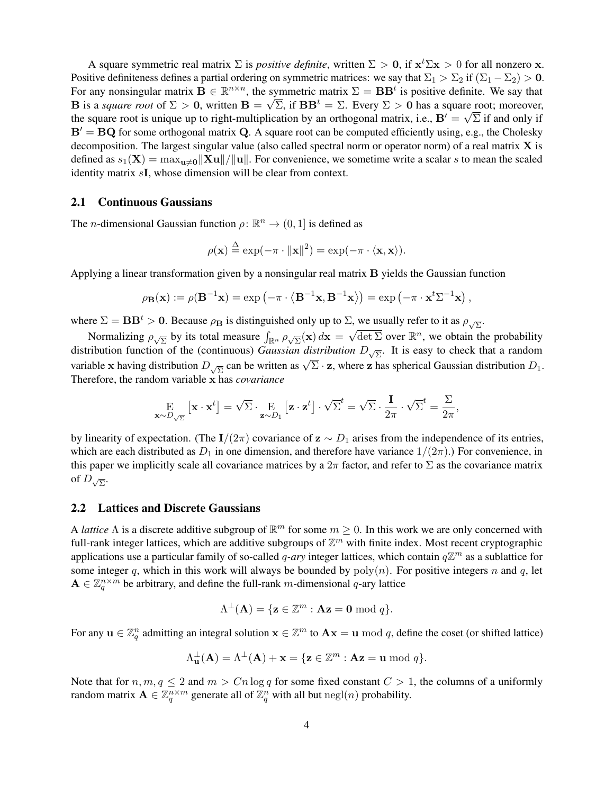A square symmetric real matrix  $\Sigma$  is *positive definite*, written  $\Sigma > 0$ , if  $x^t \Sigma x > 0$  for all nonzero x. Positive definiteness defines a partial ordering on symmetric matrices: we say that  $\Sigma_1 > \Sigma_2$  if  $(\Sigma_1 - \Sigma_2) > 0$ . For any nonsingular matrix  $\mathbf{B} \in \mathbb{R}^{n \times n}$ , the symmetric matrix  $\Sigma = \mathbf{B} \mathbf{B}^t$  is positive definite. We say that **B** is a *square root* of  $\Sigma > 0$ , written  $\mathbf{B} = \sqrt{\Sigma}$ , if  $\mathbf{B} \mathbf{B}^t = \Sigma$ . Every  $\Sigma > 0$  has a square root; moreover, the square root is unique up to right-multiplication by an orthogonal matrix, i.e.,  $B' = \sqrt{\Sigma}$  if and only if  $B' = BQ$  for some orthogonal matrix Q. A square root can be computed efficiently using, e.g., the Cholesky decomposition. The largest singular value (also called spectral norm or operator norm) of a real matrix  $X$  is defined as  $s_1(\mathbf{X}) = \max_{\mathbf{u}\neq\mathbf{0}} \|\mathbf{X}\mathbf{u}\|/\|\mathbf{u}\|$ . For convenience, we sometime write a scalar s to mean the scaled identity matrix sI, whose dimension will be clear from context.

### 2.1 Continuous Gaussians

The *n*-dimensional Gaussian function  $\rho: \mathbb{R}^n \to (0, 1]$  is defined as

$$
\rho(\mathbf{x}) \stackrel{\Delta}{=} \exp(-\pi \cdot ||\mathbf{x}||^2) = \exp(-\pi \cdot \langle \mathbf{x}, \mathbf{x} \rangle).
$$

Applying a linear transformation given by a nonsingular real matrix B yields the Gaussian function

$$
\rho_{\mathbf{B}}(\mathbf{x}) := \rho(\mathbf{B}^{-1}\mathbf{x}) = \exp\left(-\pi \cdot \left\langle \mathbf{B}^{-1}\mathbf{x}, \mathbf{B}^{-1}\mathbf{x}\right\rangle\right) = \exp\left(-\pi \cdot \mathbf{x}^t \Sigma^{-1}\mathbf{x}\right),
$$

where  $\Sigma = \mathbf{BB}^t > 0$ . Because  $\rho_\mathbf{B}$  is distinguished only up to  $\Sigma$ , we usually refer to it as  $\rho_{\sqrt{\Sigma}}$ .

Normalizing  $\rho_{\sqrt{\Sigma}}$  by its total measure  $\int_{\mathbb{R}^n} \rho_{\sqrt{\Sigma}}(x) dx = \sqrt{\det \Sigma}$  over  $\mathbb{R}^n$ , we obtain the probability distribution function of the (continuous) *Gaussian distribution*  $D_{\sqrt{\Sigma}}$ . It is easy to check that a random variable x having distribution  $D_{\sqrt{\Sigma}}$  can be written as  $\sqrt{\Sigma} \cdot z$ , where z has spherical Gaussian distribution  $D_1$ . Therefore, the random variable x has *covariance*

$$
\mathop{\mathbf{E}}_{\mathbf{x} \sim D_{\sqrt{\Sigma}}} \left[ \mathbf{x} \cdot \mathbf{x}^t \right] = \sqrt{\Sigma} \cdot \mathop{\mathbf{E}}_{\mathbf{z} \sim D_1} \left[ \mathbf{z} \cdot \mathbf{z}^t \right] \cdot \sqrt{\Sigma}^t = \sqrt{\Sigma} \cdot \frac{\mathbf{I}}{2\pi} \cdot \sqrt{\Sigma}^t = \frac{\Sigma}{2\pi},
$$

by linearity of expectation. (The I/(2π) covariance of  $z \sim D_1$  arises from the independence of its entries, which are each distributed as  $D_1$  in one dimension, and therefore have variance  $1/(2\pi)$ .) For convenience, in this paper we implicitly scale all covariance matrices by a  $2\pi$  factor, and refer to  $\Sigma$  as the covariance matrix of  $D_{\sqrt{\Sigma}}$ .

#### 2.2 Lattices and Discrete Gaussians

A *lattice*  $\Lambda$  is a discrete additive subgroup of  $\mathbb{R}^m$  for some  $m \geq 0$ . In this work we are only concerned with full-rank integer lattices, which are additive subgroups of  $\mathbb{Z}^m$  with finite index. Most recent cryptographic applications use a particular family of so-called  $q$ -ary integer lattices, which contain  $q\mathbb{Z}^m$  as a sublattice for some integer q, which in this work will always be bounded by  $poly(n)$ . For positive integers n and q, let  $\mathbf{A} \in \mathbb{Z}_q^{n \times m}$  be arbitrary, and define the full-rank m-dimensional q-ary lattice

$$
\Lambda^{\perp}(\mathbf{A}) = \{ \mathbf{z} \in \mathbb{Z}^m : \mathbf{A}\mathbf{z} = \mathbf{0} \bmod q \}.
$$

For any  $u \in \mathbb{Z}_q^n$  admitting an integral solution  $x \in \mathbb{Z}^m$  to  $Ax = u \bmod q$ , define the coset (or shifted lattice)

$$
\Lambda_{\mathbf{u}}^{\perp}(\mathbf{A}) = \Lambda^{\perp}(\mathbf{A}) + \mathbf{x} = \{ \mathbf{z} \in \mathbb{Z}^m : \mathbf{A}\mathbf{z} = \mathbf{u} \bmod q \}.
$$

Note that for  $n, m, q \leq 2$  and  $m > Cn \log q$  for some fixed constant  $C > 1$ , the columns of a uniformly random matrix  $\mathbf{A} \in \mathbb{Z}_q^{n \times m}$  generate all of  $\mathbb{Z}_q^n$  with all but  $\text{negl}(n)$  probability.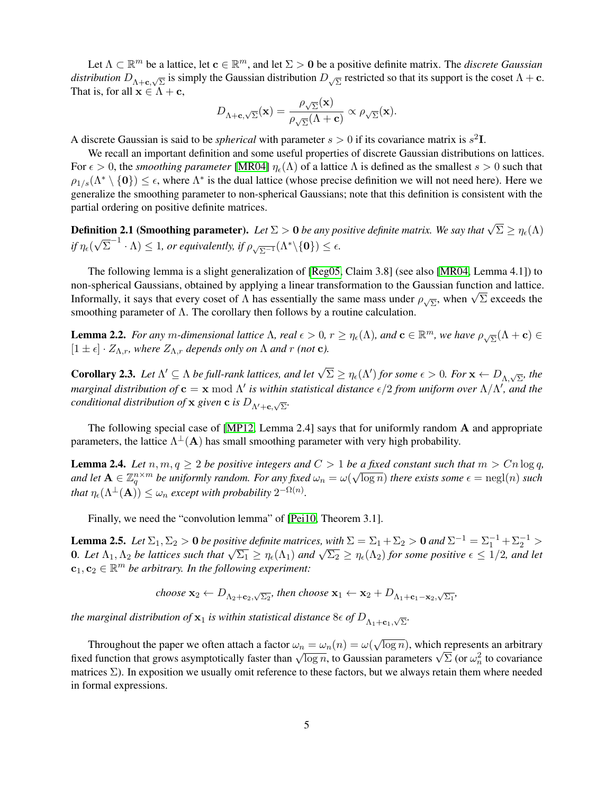Let  $\Lambda \subset \mathbb{R}^m$  be a lattice, let  $\mathbf{c} \in \mathbb{R}^m$ , and let  $\Sigma > 0$  be a positive definite matrix. The *discrete Gaussian distribution*  $D_{\Lambda+\mathbf{c},\sqrt{\Sigma}}$  is simply the Gaussian distribution  $D_{\sqrt{\Sigma}}$  restricted so that its support is the coset  $\Lambda+\mathbf{c}$ . That is, for all  $x \in \Lambda + c$ ,

$$
D_{\Lambda+\mathbf{c},\sqrt{\Sigma}}(\mathbf{x}) = \frac{\rho_{\sqrt{\Sigma}}(\mathbf{x})}{\rho_{\sqrt{\Sigma}}(\Lambda+\mathbf{c})} \propto \rho_{\sqrt{\Sigma}}(\mathbf{x}).
$$

A discrete Gaussian is said to be *spherical* with parameter  $s > 0$  if its covariance matrix is  $s^2$ **I**.

We recall an important definition and some useful properties of discrete Gaussian distributions on lattices. For  $\epsilon > 0$ , the *smoothing parameter* [\[MR04\]](#page-19-7)  $\eta_{\epsilon}(\Lambda)$  of a lattice  $\Lambda$  is defined as the smallest  $s > 0$  such that  $\rho_{1/s}(\Lambda^* \setminus \{0\}) \leq \epsilon$ , where  $\Lambda^*$  is the dual lattice (whose precise definition we will not need here). Here we generalize the smoothing parameter to non-spherical Gaussians; note that this definition is consistent with the partial ordering on positive definite matrices.

**Definition 2.1 (Smoothing parameter).** Let  $\Sigma > 0$  be any positive definite matrix. We say that  $\sqrt{\Sigma} \ge \eta_{\epsilon}(\Lambda)$  $if$   $\eta_\epsilon($ √  $\overline{\Sigma}^{-1} \cdot \Lambda) \leq 1$ , or equivalently, if  $\rho_{\sqrt{\Sigma^{-1}}}(\Lambda^* \backslash {\{0\}}) \leq \epsilon$ .

The following lemma is a slight generalization of [\[Reg05,](#page-20-2) Claim 3.8] (see also [\[MR04,](#page-19-7) Lemma 4.1]) to non-spherical Gaussians, obtained by applying a linear transformation to the Gaussian function and lattice. non-spherical Gaussians, obtained by applying a linear transformation to the Gaussian function and lattice Informally, it says that every coset of  $Λ$  has essentially the same mass under  $ρ_{\sqrt{2}}$ , when  $\sqrt{2}$  exceeds t smoothing parameter of Λ. The corollary then follows by a routine calculation.

**Lemma 2.2.** *For any m-dimensional lattice*  $\Lambda$ *, real*  $\epsilon > 0$ *,*  $r \geq \eta_{\epsilon}(\Lambda)$ *, and*  $\mathbf{c} \in \mathbb{R}^m$ *, we have*  $\rho_{\sqrt{\Sigma}}(\Lambda + \mathbf{c}) \in$  $[1 \pm \epsilon] \cdot Z_{\Lambda,r}$ , where  $Z_{\Lambda,r}$  depends only on  $\Lambda$  and r (not **c**).

<span id="page-5-2"></span>**Corollary 2.3.** Let  $\Lambda' \subseteq \Lambda$  be full-rank lattices, and let  $\sqrt{\Sigma} \ge \eta_{\epsilon}(\Lambda')$  for some  $\epsilon > 0$ . For  $\mathbf{x} \leftarrow D_{\Lambda,\sqrt{\Sigma}}$ , the *marginal distribution of*  $c = x \mod \Lambda'$  is within statistical distance  $\epsilon/2$  from uniform over  $\Lambda/\Lambda'$ , and the *conditional distribution of* **x** *given* **c** *is*  $D_{\Lambda'+\mathbf{c},\sqrt{\Sigma}}$ .

The following special case of [\[MP12,](#page-19-6) Lemma 2.4] says that for uniformly random  $\bf{A}$  and appropriate parameters, the lattice  $\Lambda^{\perp}(A)$  has small smoothing parameter with very high probability.

<span id="page-5-0"></span>**Lemma 2.4.** *Let*  $n, m, q \geq 2$  *be positive integers and*  $C > 1$  *be a fixed constant such that*  $m > Cn \log q$ , and let  $A \in \mathbb{Z}_q^{n \times m}$  be uniformly random. For any fixed  $\omega_n = \omega(\sqrt{\log n})$  there exists some  $\epsilon = \text{negl}(n)$  such *that*  $\eta_{\epsilon}(\Lambda^{\perp}(\mathbf{A})) \leq \omega_n$  *except with probability*  $2^{-\Omega(n)}$ *.* 

Finally, we need the "convolution lemma" of [\[Pei10,](#page-19-5) Theorem 3.1].

<span id="page-5-1"></span>**Lemma 2.5.** Let  $\Sigma_1$ ,  $\Sigma_2 > 0$  be positive definite matrices, with  $\Sigma = \Sigma_1 + \Sigma_2 > 0$  and  $\Sigma^{-1} = \Sigma_1^{-1} + \Sigma_2^{-1} > 0$ **10** Let  $\Lambda_1, \Lambda_2$  *be lattices such that*  $\sqrt{\Sigma_1} \ge \eta_{\epsilon}(\Lambda_1)$  *and*  $\sqrt{\Sigma_2} \ge \eta_{\epsilon}(\Lambda_2)$  *for some positive*  $\epsilon \le 1/2$ *, and let*  $\eta_{\epsilon}(\Lambda_1)$  $c_1, c_2 \in \mathbb{R}^m$  be arbitrary. In the following experiment:

choose 
$$
\mathbf{x}_2 \leftarrow D_{\Lambda_2 + \mathbf{c}_2, \sqrt{\Sigma_2}}
$$
, then choose  $\mathbf{x}_1 \leftarrow \mathbf{x}_2 + D_{\Lambda_1 + \mathbf{c}_1 - \mathbf{x}_2, \sqrt{\Sigma_1}}$ ,

*the marginal distribution of*  $\mathbf{x}_1$  *is within statistical distance*  $8\epsilon$  *of*  $D_{\Lambda_1+\mathbf{c}_1,\sqrt{\Sigma}}$ .

Throughout the paper we often attach a factor  $\omega_n = \omega_n(n) = \omega(n)$ √  $\overline{\log n}$ ), which represents an arbitrary I infoughout the paper we often attach a factor  $\omega_n = \omega_n(n) = \omega(\sqrt{\log n})$ , which represents an arbitrary fixed function that grows asymptotically faster than  $\sqrt{\log n}$ , to Gaussian parameters  $\sqrt{\Sigma}$  (or  $\omega_n^2$  to covariance matrices  $\Sigma$ ). In exposition we usually omit reference to these factors, but we always retain them where needed in formal expressions.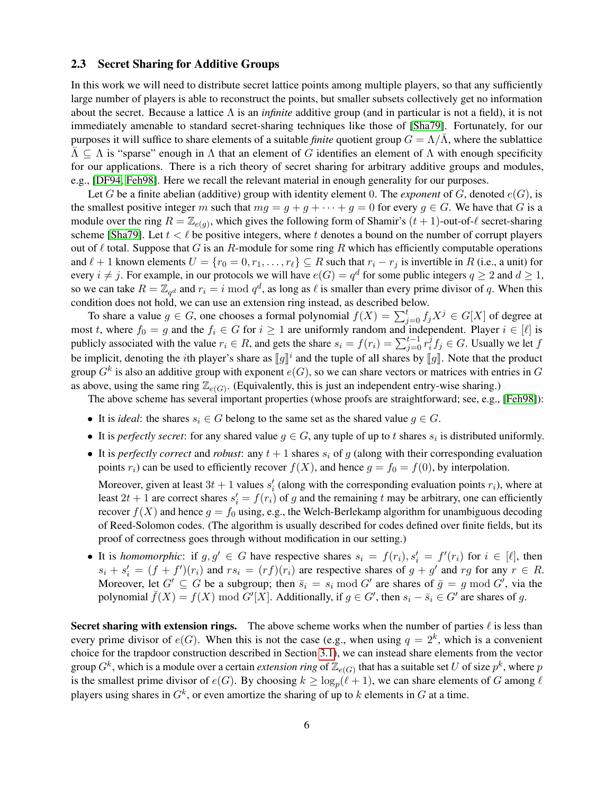### <span id="page-6-0"></span>2.3 Secret Sharing for Additive Groups

In this work we will need to distribute secret lattice points among multiple players, so that any sufficiently large number of players is able to reconstruct the points, but smaller subsets collectively get no information about the secret. Because a lattice Λ is an *infinite* additive group (and in particular is not a field), it is not immediately amenable to standard secret-sharing techniques like those of [\[Sha79\]](#page-20-8). Fortunately, for our purposes it will suffice to share elements of a suitable *finite* quotient group  $G = \Lambda/\overline{\Lambda}$ , where the sublattice  $\Lambda \subseteq \Lambda$  is "sparse" enough in  $\Lambda$  that an element of G identifies an element of  $\Lambda$  with enough specificity for our applications. There is a rich theory of secret sharing for arbitrary additive groups and modules, e.g., [\[DF94,](#page-19-14) [Feh98\]](#page-19-15). Here we recall the relevant material in enough generality for our purposes.

Let G be a finite abelian (additive) group with identity element 0. The *exponent* of  $G$ , denoted  $e(G)$ , is the smallest positive integer m such that  $mg = g + g + \cdots + g = 0$  for every  $g \in G$ . We have that G is a module over the ring  $R = \mathbb{Z}_{e(g)}$ , which gives the following form of Shamir's  $(t + 1)$ -out-of- $\ell$  secret-sharing scheme [\[Sha79\]](#page-20-8). Let  $t < \ell$  be positive integers, where t denotes a bound on the number of corrupt players out of  $\ell$  total. Suppose that G is an R-module for some ring R which has efficiently computable operations and  $\ell + 1$  known elements  $U = \{r_0 = 0, r_1, \ldots, r_\ell\} \subseteq R$  such that  $r_i - r_j$  is invertible in R (i.e., a unit) for every  $i \neq j$ . For example, in our protocols we will have  $e(G) = q^d$  for some public integers  $q \geq 2$  and  $d \geq 1$ , so we can take  $R = \mathbb{Z}_{q^d}$  and  $r_i = i \mod q^d$ , as long as  $\ell$  is smaller than every prime divisor of q. When this condition does not hold, we can use an extension ring instead, as described below.

To share a value  $g \in G$ , one chooses a formal polynomial  $f(X) = \sum_{j=0}^{t} f_j X^j \in G[X]$  of degree at most t, where  $f_0 = g$  and the  $f_i \in G$  for  $i \ge 1$  are uniformly random and independent. Player  $i \in [\ell]$  is publicly associated with the value  $r_i \in R$ , and gets the share  $s_i = f(r_i) = \sum_{j=0}^{t-1} r_i^j$  $i<sup>j</sup> f_j \in G$ . Usually we let  $f$ be implicit, denoting the *i*th player's share as  $[\![g]\!]$ <sup>*i*</sup> and the tuple of all shares by  $[\![g]\!]$ . Note that the product  $G$  are  $\mathbb{R}$  is also an additive group with avapant  $\mathcal{L}(G)$ , so we see share vectors or m group  $G^k$  is also an additive group with exponent  $e(G)$ , so we can share vectors or matrices with entries in  $G$ as above, using the same ring  $\mathbb{Z}_{e(G)}$ . (Equivalently, this is just an independent entry-wise sharing.)

The above scheme has several important properties (whose proofs are straightforward; see, e.g., [\[Feh98\]](#page-19-15)):

- It is *ideal*: the shares  $s_i \in G$  belong to the same set as the shared value  $g \in G$ .
- It is *perfectly secret*: for any shared value  $g \in G$ , any tuple of up to t shares  $s_i$  is distributed uniformly.
- It is *perfectly correct* and *robust*: any  $t + 1$  shares  $s_i$  of g (along with their corresponding evaluation points  $r_i$ ) can be used to efficiently recover  $f(X)$ , and hence  $g = f_0 = f(0)$ , by interpolation.

Moreover, given at least  $3t + 1$  values  $s_i'$  (along with the corresponding evaluation points  $r_i$ ), where at least  $2t + 1$  are correct shares  $s_i' = f(r_i)$  of g and the remaining t may be arbitrary, one can efficiently recover  $f(X)$  and hence  $g = f_0$  using, e.g., the Welch-Berlekamp algorithm for unambiguous decoding of Reed-Solomon codes. (The algorithm is usually described for codes defined over finite fields, but its proof of correctness goes through without modification in our setting.)

• It is *homomorphic*: if  $g, g' \in G$  have respective shares  $s_i = f(r_i), s'_i = f'(r_i)$  for  $i \in [\ell]$ , then  $s_i + s'_i = (f + f')(r_i)$  and  $rs_i = (rf)(r_i)$  are respective shares of  $g + g'$  and  $rg$  for any  $r \in R$ . Moreover, let  $G' \subseteq G$  be a subgroup; then  $\bar{s}_i = s_i \mod G'$  are shares of  $\bar{g} = g \mod G'$ , via the polynomial  $\bar{f}(X) = f(X) \mod G'[X]$ . Additionally, if  $g \in G'$ , then  $s_i - \bar{s}_i \in G'$  are shares of g.

Secret sharing with extension rings. The above scheme works when the number of parties  $\ell$  is less than every prime divisor of  $e(G)$ . When this is not the case (e.g., when using  $q = 2<sup>k</sup>$ , which is a convenient choice for the trapdoor construction described in Section [3.1\)](#page-8-1), we can instead share elements from the vector group  $G^k$ , which is a module over a certain *extension ring* of  $\mathbb{Z}_{e(G)}$  that has a suitable set  $U$  of size  $p^k$ , where  $p$ is the smallest prime divisor of  $e(G)$ . By choosing  $k \ge \log_p(\ell + 1)$ , we can share elements of G among  $\ell$ players using shares in  $G^k$ , or even amortize the sharing of up to k elements in G at a time.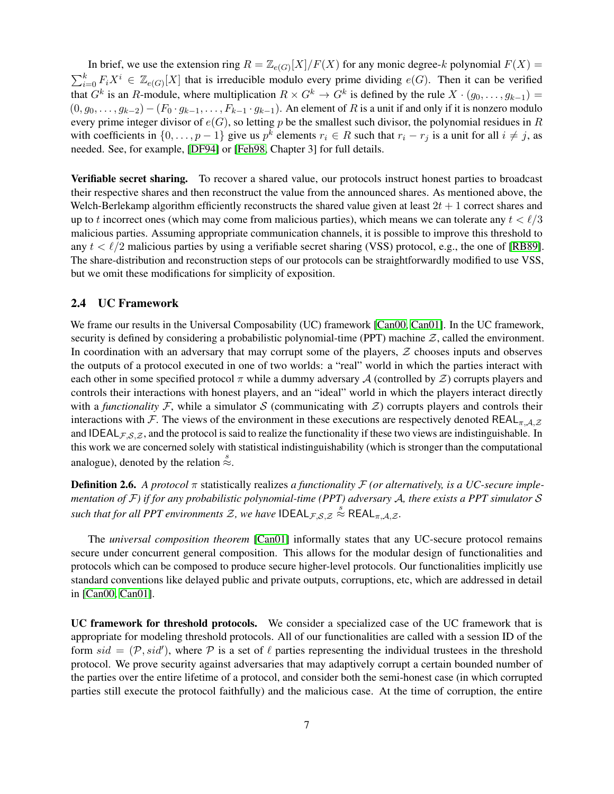In brief, we use the extension ring  $R = \mathbb{Z}_{e(G)}[X]/F(X)$  for any monic degree-k polynomial  $F(X) =$  $\sum_{i=0}^{k} F_i X^i \in \mathbb{Z}_{e(G)}[X]$  that is irreducible modulo every prime dividing  $e(G)$ . Then it can be verified that  $G^k$  is an R-module, where multiplication  $R \times G^k \to G^k$  is defined by the rule  $X \cdot (g_0, \ldots, g_{k-1}) =$  $(0, g_0, \ldots, g_{k-2})$  –  $(F_0 \cdot g_{k-1}, \ldots, F_{k-1} \cdot g_{k-1})$ . An element of R is a unit if and only if it is nonzero modulo every prime integer divisor of  $e(G)$ , so letting p be the smallest such divisor, the polynomial residues in R with coefficients in  $\{0, \ldots, p-1\}$  give us  $p^k$  elements  $r_i \in R$  such that  $r_i - r_j$  is a unit for all  $i \neq j$ , as needed. See, for example, [\[DF94\]](#page-19-14) or [\[Feh98,](#page-19-15) Chapter 3] for full details.

Verifiable secret sharing. To recover a shared value, our protocols instruct honest parties to broadcast their respective shares and then reconstruct the value from the announced shares. As mentioned above, the Welch-Berlekamp algorithm efficiently reconstructs the shared value given at least  $2t + 1$  correct shares and up to t incorrect ones (which may come from malicious parties), which means we can tolerate any  $t < \ell/3$ malicious parties. Assuming appropriate communication channels, it is possible to improve this threshold to any  $t < l/2$  malicious parties by using a verifiable secret sharing (VSS) protocol, e.g., the one of [\[RB89\]](#page-20-3). The share-distribution and reconstruction steps of our protocols can be straightforwardly modified to use VSS, but we omit these modifications for simplicity of exposition.

# 2.4 UC Framework

We frame our results in the Universal Composability (UC) framework [\[Can00,](#page-18-7) [Can01\]](#page-18-4). In the UC framework, security is defined by considering a probabilistic polynomial-time (PPT) machine  $Z$ , called the environment. In coordination with an adversary that may corrupt some of the players,  $Z$  chooses inputs and observes the outputs of a protocol executed in one of two worlds: a "real" world in which the parties interact with each other in some specified protocol  $\pi$  while a dummy adversary A (controlled by  $\mathcal Z$ ) corrupts players and controls their interactions with honest players, and an "ideal" world in which the players interact directly with a *functionality* F, while a simulator S (communicating with  $\mathcal{Z}$ ) corrupts players and controls their interactions with F. The views of the environment in these executions are respectively denoted REAL<sub>π,A, Z</sub> and IDEAL $_{\mathcal{F},S,\mathcal{Z}}$ , and the protocol is said to realize the functionality if these two views are indistinguishable. In this work we are concerned solely with statistical indistinguishability (which is stronger than the computational analogue), denoted by the relation  $\stackrel{s}{\approx}$ .

**Definition 2.6.** A protocol  $\pi$  statistically realizes *a functionality*  $\mathcal F$  *(or alternatively, is a UC-secure implementation of* F*) if for any probabilistic polynomial-time (PPT) adversary* A*, there exists a PPT simulator* S *such that for all PPT environments*  $\mathcal{Z}$ *, we have*  $\text{IDEAL}_{\mathcal{F},\mathcal{S},\mathcal{Z}} \overset{\circ}{\approx} \text{REAL}_{\pi,\mathcal{A},\mathcal{Z}}$ *.* 

The *universal composition theorem* [\[Can01\]](#page-18-4) informally states that any UC-secure protocol remains secure under concurrent general composition. This allows for the modular design of functionalities and protocols which can be composed to produce secure higher-level protocols. Our functionalities implicitly use standard conventions like delayed public and private outputs, corruptions, etc, which are addressed in detail in [\[Can00,](#page-18-7) [Can01\]](#page-18-4).

UC framework for threshold protocols. We consider a specialized case of the UC framework that is appropriate for modeling threshold protocols. All of our functionalities are called with a session ID of the form  $sid = (\mathcal{P}, sid')$ , where  $\mathcal P$  is a set of  $\ell$  parties representing the individual trustees in the threshold protocol. We prove security against adversaries that may adaptively corrupt a certain bounded number of the parties over the entire lifetime of a protocol, and consider both the semi-honest case (in which corrupted parties still execute the protocol faithfully) and the malicious case. At the time of corruption, the entire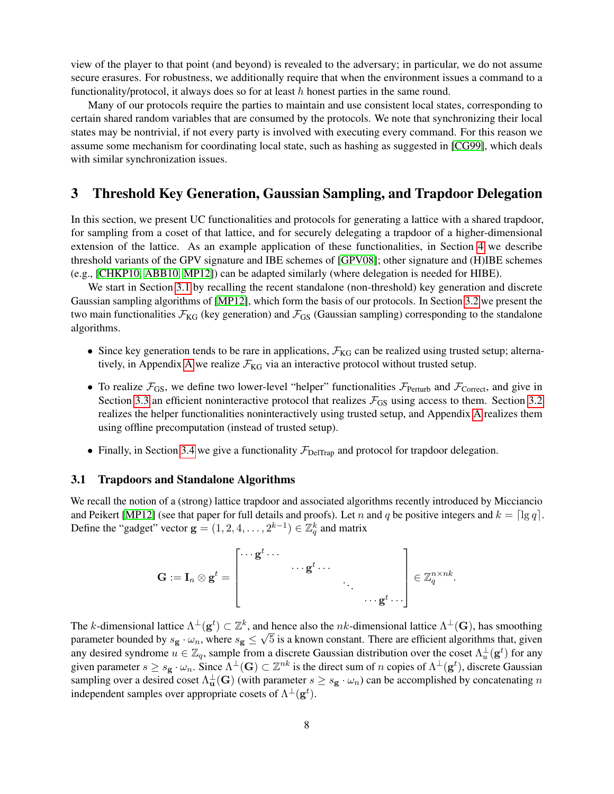view of the player to that point (and beyond) is revealed to the adversary; in particular, we do not assume secure erasures. For robustness, we additionally require that when the environment issues a command to a functionality/protocol, it always does so for at least h honest parties in the same round.

Many of our protocols require the parties to maintain and use consistent local states, corresponding to certain shared random variables that are consumed by the protocols. We note that synchronizing their local states may be nontrivial, if not every party is involved with executing every command. For this reason we assume some mechanism for coordinating local state, such as hashing as suggested in [\[CG99\]](#page-18-0), which deals with similar synchronization issues.

# <span id="page-8-0"></span>3 Threshold Key Generation, Gaussian Sampling, and Trapdoor Delegation

In this section, we present UC functionalities and protocols for generating a lattice with a shared trapdoor, for sampling from a coset of that lattice, and for securely delegating a trapdoor of a higher-dimensional extension of the lattice. As an example application of these functionalities, in Section [4](#page-15-0) we describe threshold variants of the GPV signature and IBE schemes of [\[GPV08\]](#page-19-2); other signature and (H)IBE schemes (e.g., [\[CHKP10,](#page-19-3) [ABB10,](#page-17-0) [MP12\]](#page-19-6)) can be adapted similarly (where delegation is needed for HIBE).

We start in Section [3.1](#page-8-1) by recalling the recent standalone (non-threshold) key generation and discrete Gaussian sampling algorithms of [\[MP12\]](#page-19-6), which form the basis of our protocols. In Section [3.2](#page-9-0) we present the two main functionalities  $\mathcal{F}_{KG}$  (key generation) and  $\mathcal{F}_{GS}$  (Gaussian sampling) corresponding to the standalone algorithms.

- Since key generation tends to be rare in applications,  $\mathcal{F}_{KG}$  can be realized using trusted setup; alterna-tively, in [A](#page-20-4)ppendix A we realize  $\mathcal{F}_{KG}$  via an interactive protocol without trusted setup.
- To realize  $\mathcal{F}_{GS}$ , we define two lower-level "helper" functionalities  $\mathcal{F}_{Perturb}$  and  $\mathcal{F}_{Correct}$ , and give in Section [3.3](#page-13-0) an efficient noninteractive protocol that realizes  $\mathcal{F}_{GS}$  using access to them. Section [3.2](#page-9-0) realizes the helper functionalities noninteractively using trusted setup, and Appendix [A](#page-20-4) realizes them using offline precomputation (instead of trusted setup).
- Finally, in Section [3.4](#page-15-1) we give a functionality  $\mathcal{F}_{\text{DelTrap}}$  and protocol for trapdoor delegation.

# <span id="page-8-1"></span>3.1 Trapdoors and Standalone Algorithms

We recall the notion of a (strong) lattice trapdoor and associated algorithms recently introduced by Micciancio and Peikert [\[MP12\]](#page-19-6) (see that paper for full details and proofs). Let n and q be positive integers and  $k = \lceil \lg q \rceil$ . Define the "gadget" vector  $\mathbf{g} = (1, 2, 4, \dots, 2^{k-1}) \in \mathbb{Z}_q^k$  and matrix

$$
\mathbf{G}:=\mathbf{I}_n\otimes \mathbf{g}^t=\left[\begin{matrix} \cdots \mathbf{g}^t\cdots\\ & \cdots \mathbf{g}^t\cdots\\ && \ddots\\ &&& \cdots \mathbf{g}^t\cdots\\ &&&& \cdots \mathbf{g}^t\cdots \end{matrix}\right]\in \mathbb{Z}_q^{n\times nk}.
$$

The k-dimensional lattice  $\Lambda^{\perp}(\mathbf{g}^t) \subset \mathbb{Z}^k$ , and hence also the nk-dimensional lattice  $\Lambda^{\perp}(\mathbf{G})$ , has smoothing parameter bounded by  $s_g \cdot \omega_n$ , where  $s_g \leq \sqrt{5}$  is a known constant. There are efficient algorithms that, given any desired syndrome  $u \in \mathbb{Z}_q$ , sample from a discrete Gaussian distribution over the coset  $\Lambda_u^{\perp}(\mathbf{g}^t)$  for any given parameter  $s \geq s_{\mathbf{g}} \cdot \omega_n$ . Since  $\bar{\Lambda}^{\perp}(\mathbf{G}) \subset \mathbb{Z}^{nk}$  is the direct sum of n copies of  $\Lambda^{\perp}(\mathbf{g}^t)$ , discrete Gaussian sampling over a desired coset  $\Lambda_\mathbf{u}^\perp(\mathbf{G})$  (with parameter  $s \geq s_\mathbf{g} \cdot \omega_n$ ) can be accomplished by concatenating  $n$ independent samples over appropriate cosets of  $\Lambda^{\perp}(\mathbf{g}^t)$ .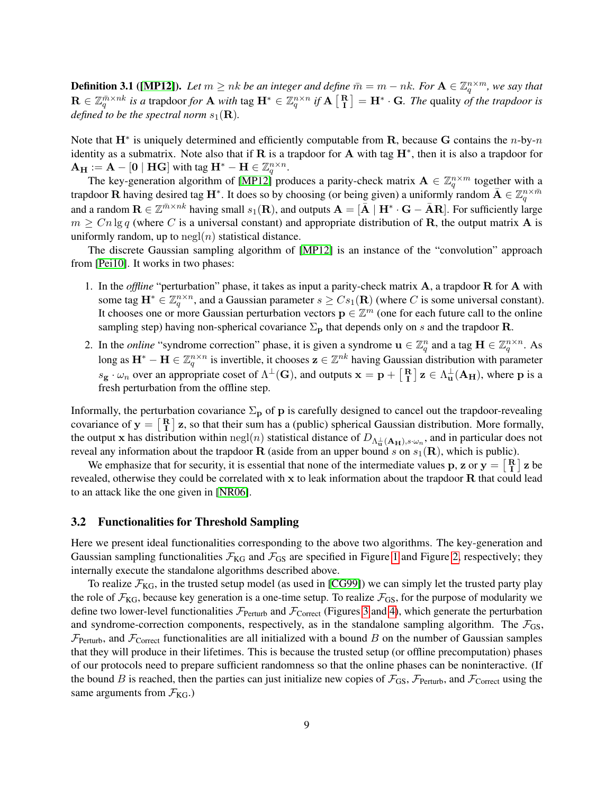**Definition 3.1** ([\[MP12\]](#page-19-6)). Let  $m \geq nk$  be an integer and define  $\bar{m} = m - nk$ . For  $\mathbf{A} \in \mathbb{Z}_q^{n \times m}$ , we say that  $\mathbf{R}$  ∈  $\mathbb{Z}_q^{\bar{m}\times nk}$  *is a* trapdoor *for* **A** *with* tag  $\mathbf{H}^*$  ∈  $\mathbb{Z}_q^{n\times n}$  *if*  $\mathbf{A}$   $\begin{bmatrix} \mathbf{R} \\ \mathbf{I} \end{bmatrix}$  =  $\mathbf{H}^* \cdot \mathbf{G}$ *. The* quality *of the trapdoor is defined to be the spectral norm*  $s_1(\mathbf{R})$ *.* 

Note that  $\mathbf{H}^*$  is uniquely determined and efficiently computable from  $\mathbf{R}$ , because  $\mathbf{G}$  contains the *n*-by-*n* identity as a submatrix. Note also that if R is a trapdoor for A with tag  $H^*$ , then it is also a trapdoor for  ${\bf A_H} := {\bf A} - [{\bf 0} \mid {\bf H} {\bf G}]$  with tag  ${\bf H}^* - {\bf H} \in \mathbb{Z}_q^{n \times n}$ .

The key-generation algorithm of [\[MP12\]](#page-19-6) produces a parity-check matrix  $\mathbf{A} \in \mathbb{Z}_q^{n \times m}$  together with a trapdoor **R** having desired tag **H**<sup>\*</sup>. It does so by choosing (or being given) a uniformly random  $\bar{A} \in \mathbb{Z}_q^{n \times \bar{m}}$ and a random  $\mathbf{R} \in \mathbb{Z}^{\bar{m} \times nk}$  having small  $s_1(\mathbf{R})$ , and outputs  $\mathbf{A} = [\bar{\mathbf{A}} \mid \mathbf{H}^* \cdot \mathbf{G} - \bar{\mathbf{A}} \mathbf{R}]$ . For sufficiently large  $m \geq C n \lg q$  (where C is a universal constant) and appropriate distribution of **R**, the output matrix **A** is uniformly random, up to  $negl(n)$  statistical distance.

The discrete Gaussian sampling algorithm of [\[MP12\]](#page-19-6) is an instance of the "convolution" approach from [\[Pei10\]](#page-19-5). It works in two phases:

- 1. In the *offline* "perturbation" phase, it takes as input a parity-check matrix A, a trapdoor R for A with some tag  $\mathbf{H}^* \in \mathbb{Z}_q^{n \times n}$ , and a Gaussian parameter  $s \geq Cs_1(\mathbf{R})$  (where C is some universal constant). It chooses one or more Gaussian perturbation vectors  $\mathbf{p} \in \mathbb{Z}^m$  (one for each future call to the online sampling step) having non-spherical covariance  $\Sigma_p$  that depends only on s and the trapdoor R.
- 2. In the *online* "syndrome correction" phase, it is given a syndrome  $\mathbf{u} \in \mathbb{Z}_q^n$  and a tag  $\mathbf{H} \in \mathbb{Z}_q^{n \times n}$ . As long as  $H^* - H \in \mathbb{Z}_q^{n \times n}$  is invertible, it chooses  $z \in \mathbb{Z}^{nk}$  having Gaussian distribution with parameter  $s_{\mathbf{g}} \cdot \omega_n$  over an appropriate coset of  $\Lambda^{\perp}(\mathbf{G})$ , and outputs  $\mathbf{x} = \mathbf{p} + \begin{bmatrix} \mathbf{R} \\ \mathbf{I} \end{bmatrix} \mathbf{z} \in \Lambda_{\mathbf{u}}^{\perp}(\mathbf{A}_{\mathbf{H}})$ , where  $\mathbf{p}$  is a fresh perturbation from the offline step.

Informally, the perturbation covariance  $\Sigma_{\bf p}$  of p is carefully designed to cancel out the trapdoor-revealing covariance of  $y = \begin{bmatrix} R \\ I \end{bmatrix}$  z, so that their sum has a (public) spherical Gaussian distribution. More formally, the output x has distribution within  $negl(n)$  statistical distance of  $D_{\Lambda_u^{\perp}}(A_H)$ , and in particular does not reveal any information about the trapdoor R (aside from an upper bound s on  $s_1(\mathbf{R})$ , which is public).

We emphasize that for security, it is essential that none of the intermediate values p, z or  $y = \begin{bmatrix} R \\ I \end{bmatrix} z$  be revealed, otherwise they could be correlated with x to leak information about the trapdoor R that could lead to an attack like the one given in [\[NR06\]](#page-19-12).

### <span id="page-9-0"></span>3.2 Functionalities for Threshold Sampling

Here we present ideal functionalities corresponding to the above two algorithms. The key-generation and Gaussian sampling functionalities  $\mathcal{F}_{KG}$  and  $\mathcal{F}_{GS}$  are specified in Figure [1](#page-10-1) and Figure [2,](#page-10-2) respectively; they internally execute the standalone algorithms described above.

To realize  $\mathcal{F}_{KG}$ , in the trusted setup model (as used in [\[CG99\]](#page-18-0)) we can simply let the trusted party play the role of  $\mathcal{F}_{KG}$ , because key generation is a one-time setup. To realize  $\mathcal{F}_{GS}$ , for the purpose of modularity we define two lower-level functionalities  $\mathcal{F}_{Perturb}$  and  $\mathcal{F}_{Correct}$  (Figures [3](#page-11-0) and [4\)](#page-12-0), which generate the perturbation and syndrome-correction components, respectively, as in the standalone sampling algorithm. The  $\mathcal{F}_{GS}$ ,  $\mathcal{F}_{Perturb}$ , and  $\mathcal{F}_{Correct}$  functionalities are all initialized with a bound B on the number of Gaussian samples that they will produce in their lifetimes. This is because the trusted setup (or offline precomputation) phases of our protocols need to prepare sufficient randomness so that the online phases can be noninteractive. (If the bound B is reached, then the parties can just initialize new copies of  $\mathcal{F}_{GS}$ ,  $\mathcal{F}_{Perturb}$ , and  $\mathcal{F}_{Correct}$  using the same arguments from  $\mathcal{F}_{KG}$ .)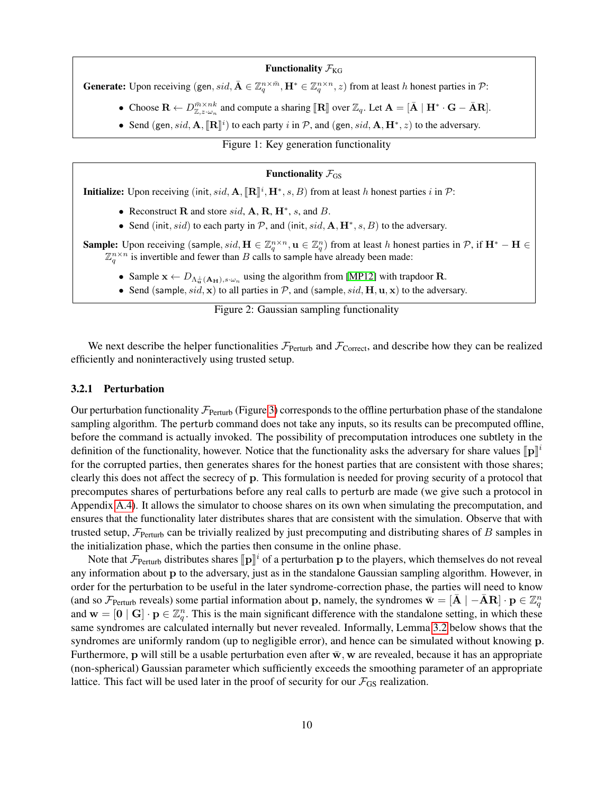#### Functionality  $\mathcal{F}_{KG}$

**Generate:** Upon receiving (gen, sid,  $\bar{\mathbf{A}} \in \mathbb{Z}_q^{n \times \bar{m}}$ ,  $\mathbf{H}^* \in \mathbb{Z}_q^{n \times n}$ , z) from at least h honest parties in  $\mathcal{P}$ :

- Choose  $\mathbf{R} \leftarrow D_{\mathbb{Z},z\cdot\omega_n}^{\bar{m}\times nk}$  and compute a sharing  $[\mathbf{R}]$  over  $\mathbb{Z}_q$ . Let  $\mathbf{A} = [\bar{\mathbf{A}} \mid \mathbf{H}^* \cdot \mathbf{G} \bar{\mathbf{A}}\mathbf{R}]$ .
- Send (gen, sid, A,  $[\mathbb{R}]^i$ ) to each party i in P, and (gen, sid, A,  $\mathbb{H}^*, z$ ) to the adversary.

Figure 1: Key generation functionality

# <span id="page-10-1"></span>Functionality  $\mathcal{F}_{GS}$

**Initialize:** Upon receiving (init, sid,  $\mathbf{A}, [\mathbb{R}]^i, \mathbb{H}^*, s, B$ ) from at least h honest parties i in  $\mathcal{P}$ :

- Reconstruct  $\bf{R}$  and store sid,  $\bf{A}$ ,  $\bf{R}$ ,  $\bf{H}^*$ , s, and  $\bf{B}$ .
- Send (init, sid) to each party in  $P$ , and (init, sid,  $A, H^*, s, B$ ) to the adversary.

**Sample:** Upon receiving (sample, sid,  $H \in \mathbb{Z}_q^{n \times n}$ ,  $\mathbf{u} \in \mathbb{Z}_q^n$ ) from at least h honest parties in  $\mathcal{P}$ , if  $\mathbf{H}^* - \mathbf{H} \in$  $\mathbb{Z}_q^{n \times n}$  is invertible and fewer than B calls to sample have already been made:

- Sample  $\mathbf{x} \leftarrow D_{\Lambda_{\mathbf{u}}^{\perp}(\mathbf{A}_{\mathbf{H}}), s \cdot \omega_n}$  using the algorithm from [\[MP12\]](#page-19-6) with trapdoor **R**.
- Send (sample,  $sid$ , x) to all parties in  $P$ , and (sample,  $sid$ ,  $H$ ,  $u$ ,  $x$ ) to the adversary.

# <span id="page-10-2"></span>Figure 2: Gaussian sampling functionality

We next describe the helper functionalities  $\mathcal{F}_{Perturb}$  and  $\mathcal{F}_{Correct}$ , and describe how they can be realized efficiently and noninteractively using trusted setup.

#### 3.2.1 Perturbation

Our perturbation functionality  $\mathcal{F}_{\text{Perturb}}$  (Figure [3\)](#page-11-0) corresponds to the offline perturbation phase of the standalone sampling algorithm. The perturb command does not take any inputs, so its results can be precomputed offline, before the command is actually invoked. The possibility of precomputation introduces one subtlety in the definition of the functionality, however. Notice that the functionality asks the adversary for share values  $[\![p]\!]$ <sup>i</sup> for the corrupted parties, then generates shares for the honest parties that are consistent with those shares; clearly this does not affect the secrecy of p. This formulation is needed for proving security of a protocol that precomputes shares of perturbations before any real calls to perturb are made (we give such a protocol in Appendix [A.4\)](#page-26-0). It allows the simulator to choose shares on its own when simulating the precomputation, and ensures that the functionality later distributes shares that are consistent with the simulation. Observe that with trusted setup,  $\mathcal{F}_{\text{Perturb}}$  can be trivially realized by just precomputing and distributing shares of B samples in the initialization phase, which the parties then consume in the online phase.

<span id="page-10-0"></span>Note that  $\mathcal{F}_{\text{Perturb}}$  distributes shares  $[\![\mathbf{p}]\!]^i$  of a perturbation p to the players, which themselves do not reveal information about p to the education into a in the standalene Gaussian semiling election. Howe any information about p to the adversary, just as in the standalone Gaussian sampling algorithm. However, in order for the perturbation to be useful in the later syndrome-correction phase, the parties will need to know (and so  $\mathcal{F}_{\text{Perturb}}$  reveals) some partial information about p, namely, the syndromes  $\bar{\mathbf{w}} = [\bar{\mathbf{A}} \mid -\bar{\mathbf{A}} \mathbf{R}] \cdot \mathbf{p} \in \mathbb{Z}_q^n$ and  $w = [0 | G] \cdot p \in \mathbb{Z}_q^n$ . This is the main significant difference with the standalone setting, in which these same syndromes are calculated internally but never revealed. Informally, Lemma [3.2](#page-10-0) below shows that the syndromes are uniformly random (up to negligible error), and hence can be simulated without knowing p. Furthermore, p will still be a usable perturbation even after  $\bar{w}$ , w are revealed, because it has an appropriate (non-spherical) Gaussian parameter which sufficiently exceeds the smoothing parameter of an appropriate lattice. This fact will be used later in the proof of security for our  $\mathcal{F}_{GS}$  realization.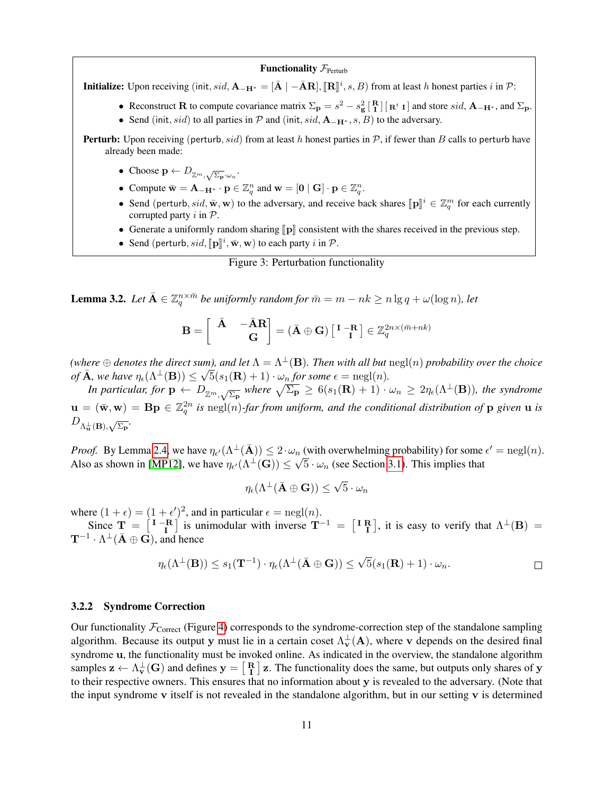#### **Functionality**  $\mathcal{F}_{\text{Perfurb}}$

**Initialize:** Upon receiving (init, sid,  $\mathbf{A}_{-\mathbf{H}^*} = [\bar{\mathbf{A}} \mid -\bar{\mathbf{A}}\mathbf{R}]$ ,  $[\mathbf{R}]$ <sup>i</sup>, s, B) from at least h honest parties i in  $\mathcal{P}$ :

- Reconstruct R to compute covariance matrix  $\Sigma_{\bf p} = s^2 s_{\bf g}^2 \left[ \begin{array}{c} {\bf R} \ {\bf I} \end{array} \right] \left[ {\bf R}^t {\bf I} \right]$  and store  $sid, {\bf A}_{-{\bf H}^*}$ , and  $\Sigma_{\bf p}$ .
- Send (init, sid) to all parties in P and (init, sid,  $A_{-H^*}, s, B$ ) to the adversary.
- **Perturb:** Upon receiving (perturb, sid) from at least h honest parties in  $P$ , if fewer than B calls to perturb have already been made:
	- Choose  $\mathbf{p} \leftarrow D_{\mathbb{Z}^m, \sqrt{\Sigma_{\mathbf{p}}} \cdot \omega_n}$ .
	- Compute  $\bar{\mathbf{w}} = \mathbf{A}_{-\mathbf{H}^*} \cdot \mathbf{p} \in \mathbb{Z}_q^n$  and  $\mathbf{w} = [\mathbf{0} \mid \mathbf{G}] \cdot \mathbf{p} \in \mathbb{Z}_q^n$ .
	- Send (perturb, sid,  $\bar{\mathbf{w}}$ ,  $\mathbf{w}$ ) to the adversary, and receive back shares  $[\![\mathbf{p}]\!]^i \in \mathbb{Z}_q^m$  for each currently corrupted party in  $\mathcal{D}$ corrupted party  $i$  in  $P$ .
	- Generate a uniformly random sharing  $\llbracket p \rrbracket$  consistent with the shares received in the previous step.
	- Send (perturb,  $sid$ ,  $[\![\mathbf{p}]\!]^i$ ,  $\bar{\mathbf{w}}$ ,  $\mathbf{w}$ ) to each party  $i$  in  $P$ .

#### <span id="page-11-0"></span>Figure 3: Perturbation functionality

**Lemma 3.2.** Let  $\bar{A} \in \mathbb{Z}_q^{n \times \bar{m}}$  be uniformly random for  $\bar{m} = m - nk \geq n \lg q + \omega(\log n)$ , let

$$
\mathbf{B} = \begin{bmatrix} \begin{bmatrix} \bar{\mathbf{A}} & -\bar{\mathbf{A}}\mathbf{R} \\ \mathbf{G} \end{bmatrix} = (\bar{\mathbf{A}} \oplus \mathbf{G}) \begin{bmatrix} \mathbf{I} & -\mathbf{R} \\ \mathbf{I} \end{bmatrix} \in \mathbb{Z}_q^{2n \times (\bar{m}+nk)}
$$

 $w^{\text{inter}}$   $\oplus$  *denotes the direct sum), and let*  $\Lambda = \Lambda^{\perp}(\mathbf{B})$ . Then with all but  $\operatorname{negl}(n)$  probability over the choice *of*  $\bar{\mathbf{A}}$ *, we have*  $\eta_{\epsilon}(\Lambda^{\perp}(\mathbf{B})) \leq \sqrt{5}(s_1(\mathbf{R}) + 1) \cdot \omega_n$  *for some*  $\epsilon = \text{negl}(n)$ *.* 

*In particular, for*  $p \leftarrow D_{\mathbb{Z}^m,\sqrt{\Sigma_p}}$  where  $\sqrt{\Sigma_p} \geq 6(s_1(\mathbf{R})+1) \cdot \omega_n \geq 2\eta_{\epsilon}(\Lambda^{\perp}(\mathbf{B}))$ , the syndrome  $\mathbf{u} = (\bar{\mathbf{w}}, \mathbf{w}) = \mathbf{B} \mathbf{p} \in \mathbb{Z}_q^{2n}$  is  $\text{negl}(n)$ -far from uniform, and the conditional distribution of  $\mathbf{p}$  given  $\mathbf{u}$  is  $D_{\Lambda_{\mathbf{u}}^{\perp}(\mathbf{B}),\sqrt{\Sigma_{\mathbf{p}}}}.$ 

*Proof.* By Lemma [2.4,](#page-5-0) we have  $\eta_{\epsilon'}(\Lambda^{\perp}(\bar{A})) \leq 2 \cdot \omega_n$  (with overwhelming probability) for some  $\epsilon' = \text{negl}(n)$ . Also as shown in [\[MP12\]](#page-19-6), we have  $\eta_{\epsilon'}(\Lambda^{\perp}(\mathbf{G})) \leq \sqrt{5} \cdot \omega_n$  (see Section [3.1\)](#page-8-1). This implies that

$$
\eta_{\epsilon}(\Lambda^{\perp}(\bar{\mathbf{A}}\oplus\mathbf{G}))\leq \sqrt{5}\cdot \omega_n
$$

where  $(1 + \epsilon) = (1 + \epsilon')^2$ , and in particular  $\epsilon = \text{negl}(n)$ .

Since  $T = \begin{bmatrix} I - R \\ I \end{bmatrix}$  is unimodular with inverse  $T^{-1} = \begin{bmatrix} I R \\ I \end{bmatrix}$ , it is easy to verify that  $\Lambda^{\perp}(B) =$  $\mathbf{T}^{-1} \cdot \Lambda^{\perp}(\bar{\mathbf{A}} \oplus \mathbf{G})$ , and hence

$$
\eta_{\epsilon}(\Lambda^{\perp}(\mathbf{B})) \leq s_1(\mathbf{T}^{-1}) \cdot \eta_{\epsilon}(\Lambda^{\perp}(\bar{\mathbf{A}} \oplus \mathbf{G})) \leq \sqrt{5}(s_1(\mathbf{R}) + 1) \cdot \omega_n.
$$

#### <span id="page-11-1"></span>3.2.2 Syndrome Correction

Our functionality  $\mathcal{F}_{\text{Correct}}$  (Figure [4\)](#page-12-0) corresponds to the syndrome-correction step of the standalone sampling algorithm. Because its output y must lie in a certain coset  $\Lambda_v^{\perp}(A)$ , where v depends on the desired final syndrome u, the functionality must be invoked online. As indicated in the overview, the standalone algorithm samples  $z \leftarrow \Lambda_v^{\perp}(G)$  and defines  $y = \begin{bmatrix} R \\ I \end{bmatrix} z$ . The functionality does the same, but outputs only shares of y to their respective owners. This ensures that no information about y is revealed to the adversary. (Note that the input syndrome  $\bf{v}$  itself is not revealed in the standalone algorithm, but in our setting  $\bf{v}$  is determined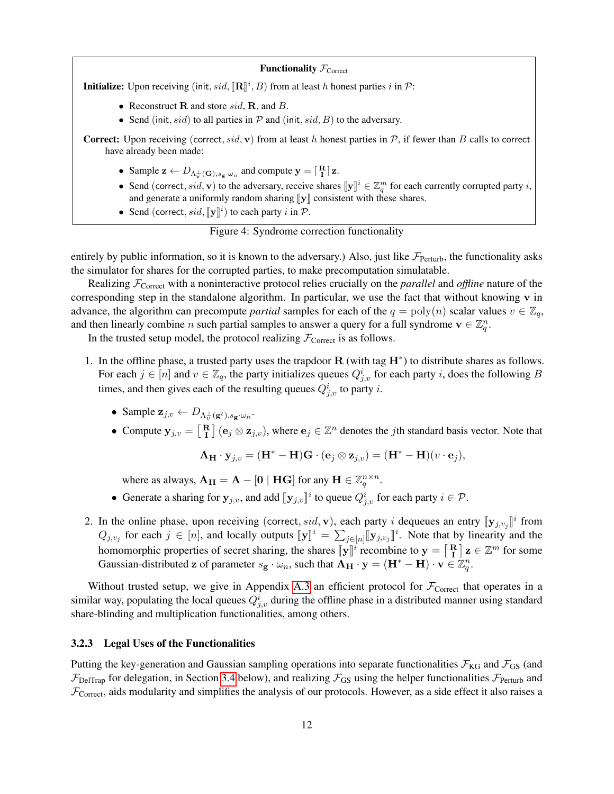

<span id="page-12-0"></span>Figure 4: Syndrome correction functionality

entirely by public information, so it is known to the adversary.) Also, just like  $\mathcal{F}_{Perturb}$ , the functionality asks the simulator for shares for the corrupted parties, to make precomputation simulatable.

Realizing FCorrect with a noninteractive protocol relies crucially on the *parallel* and *offline* nature of the corresponding step in the standalone algorithm. In particular, we use the fact that without knowing v in advance, the algorithm can precompute *partial* samples for each of the  $q = \text{poly}(n)$  scalar values  $v \in \mathbb{Z}_q$ , and then linearly combine n such partial samples to answer a query for a full syndrome  $\mathbf{v} \in \mathbb{Z}_q^n$ .

In the trusted setup model, the protocol realizing  $\mathcal{F}_{\text{Correct}}$  is as follows.

- 1. In the offline phase, a trusted party uses the trapdoor  $R$  (with tag  $H^*$ ) to distribute shares as follows. For each  $j \in [n]$  and  $v \in \mathbb{Z}_q$ , the party initializes queues  $Q_{j,v}^i$  for each party i, does the following B times, and then gives each of the resulting queues  $Q_{j,v}^{i}$  to party i.
	- Sample  $\mathbf{z}_{j,v} \leftarrow D_{\Lambda_v^{\perp}(\mathbf{g}^t), s_{\mathbf{g}} \cdot \omega_n}$ .
	- Compute  $y_{j,v} = \begin{bmatrix} R \\ I \end{bmatrix}$  ( $e_j \otimes z_{j,v}$ ), where  $e_j \in \mathbb{Z}^n$  denotes the *j*th standard basis vector. Note that

$$
\mathbf{A}_{\mathbf{H}} \cdot \mathbf{y}_{j,v} = (\mathbf{H}^* - \mathbf{H})\mathbf{G} \cdot (\mathbf{e}_j \otimes \mathbf{z}_{j,v}) = (\mathbf{H}^* - \mathbf{H})(v \cdot \mathbf{e}_j),
$$

where as always,  $\mathbf{A}_{\mathbf{H}} = \mathbf{A} - [\mathbf{0} \mid \mathbf{H}\mathbf{G}]$  for any  $\mathbf{H} \in \mathbb{Z}_q^{n \times n}$ .

- Generate a sharing for  $\mathbf{y}_{j,v}$ , and add  $[\![\mathbf{y}_{j,v}]\!]^i$  to queue  $Q^i_{j,v}$  for each party  $i \in \mathcal{P}$ .
- 2. In the online phase, upon receiving (correct, sid, v), each party i dequeues an entry  $[\![\mathbf{y}_{j,v_j}]\!]^i$  from  $Q_{j,v_j}$  for each  $j \in [n]$ , and locally outputs  $[\![\mathbf{y}]\!]^i = \sum_{j \in [n]} [\![\mathbf{y}_{j,v_j}]\!]^i$ . Note that by linearity a  $i$ . Note that by linearity and the homomorphic properties of secret sharing, the shares  $\llbracket y \rrbracket^i$  recombine to  $y = \llbracket R \rrbracket z \in \mathbb{Z}^m$  for some<br>Generics distributed a of perspective  $g(x)$ , such that  $A_{\sigma} = x - (\mathbf{H}^* - \mathbf{H}) \times \sigma \mathbb{Z}^n$ Gaussian-distributed z of parameter  $s_g \cdot \omega_n$ , such that  $\overrightarrow{A_{H}} \cdot y = (H^* - H) \cdot v \in \mathbb{Z}_q^n$ .

Without trusted setup, we give in Appendix [A.3](#page-23-0) an efficient protocol for  $\mathcal{F}_{\text{Correct}}$  that operates in a similar way, populating the local queues  $Q_{j,v}^i$  during the offline phase in a distributed manner using standard share-blinding and multiplication functionalities, among others.

### <span id="page-12-1"></span>3.2.3 Legal Uses of the Functionalities

Putting the key-generation and Gaussian sampling operations into separate functionalities  $\mathcal{F}_{KG}$  and  $\mathcal{F}_{GS}$  (and  $\mathcal{F}_{\text{DelTrap}}$  for delegation, in Section [3.4](#page-15-1) below), and realizing  $\mathcal{F}_{\text{GS}}$  using the helper functionalities  $\mathcal{F}_{\text{Perturb}}$  and  $\mathcal{F}_{\text{Correct}}$ , aids modularity and simplifies the analysis of our protocols. However, as a side effect it also raises a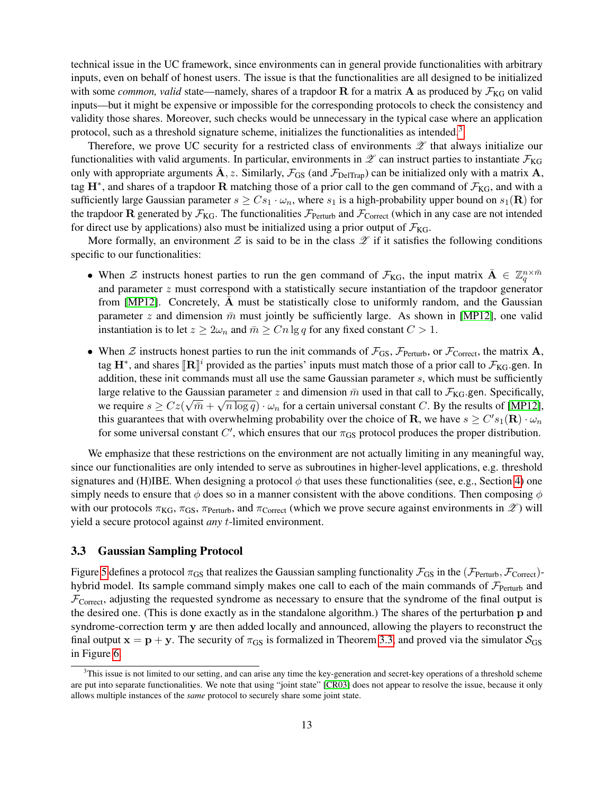technical issue in the UC framework, since environments can in general provide functionalities with arbitrary inputs, even on behalf of honest users. The issue is that the functionalities are all designed to be initialized with some *common, valid* state—namely, shares of a trapdoor  $R$  for a matrix  $A$  as produced by  $\mathcal{F}_{KG}$  on valid inputs—but it might be expensive or impossible for the corresponding protocols to check the consistency and validity those shares. Moreover, such checks would be unnecessary in the typical case where an application protocol, such as a threshold signature scheme, initializes the functionalities as intended. $3$ 

Therefore, we prove UC security for a restricted class of environments  $\mathscr Z$  that always initialize our functionalities with valid arguments. In particular, environments in  $\mathscr Z$  can instruct parties to instantiate  $\mathcal F_{\rm KG}$ only with appropriate arguments A, z. Similarly,  $\mathcal{F}_{GS}$  (and  $\mathcal{F}_{DeITrap}$ ) can be initialized only with a matrix A, tag  $H^*$ , and shares of a trapdoor R matching those of a prior call to the gen command of  $\mathcal{F}_{KG}$ , and with a sufficiently large Gaussian parameter  $s \geq Cs_1 \cdot \omega_n$ , where  $s_1$  is a high-probability upper bound on  $s_1(\mathbf{R})$  for the trapdoor R generated by  $\mathcal{F}_{KG}$ . The functionalities  $\mathcal{F}_{Perturb}$  and  $\mathcal{F}_{Correct}$  (which in any case are not intended for direct use by applications) also must be initialized using a prior output of  $\mathcal{F}_{KG}$ .

More formally, an environment Z is said to be in the class  $\mathscr Z$  if it satisfies the following conditions specific to our functionalities:

- When  $\mathcal Z$  instructs honest parties to run the gen command of  $\mathcal F_{KG}$ , the input matrix  $\bar{\mathbf A} \in \mathbb Z_q^{n \times \bar m}$ and parameter  $z$  must correspond with a statistically secure instantiation of the trapdoor generator from  $[MP12]$ . Concretely, A must be statistically close to uniformly random, and the Gaussian parameter z and dimension  $\bar{m}$  must jointly be sufficiently large. As shown in [\[MP12\]](#page-19-6), one valid instantiation is to let  $z \ge 2\omega_n$  and  $\bar{m} \ge Cn \lg q$  for any fixed constant  $C > 1$ .
- When  $\mathcal Z$  instructs honest parties to run the init commands of  $\mathcal F_{GS}$ ,  $\mathcal F_{Perturb}$ , or  $\mathcal F_{Correct}$ , the matrix A, tag  $H^*$ , and shares  $[\mathbb{R}]^i$  provided as the parties' inputs must match those of a prior call to  $\mathcal{F}_{KG}$  gen. In addition, those init commands must all use the same Gaussian parameter a which must be sufficiently addition, these init commands must all use the same Gaussian parameter  $s$ , which must be sufficiently large relative to the Gaussian parameter z and dimension  $\bar{m}$  used in that call to  $\mathcal{F}_{KG}$  gen. Specifically, we require  $s \geq Cz(\sqrt{m} + \sqrt{n \log q}) \cdot \omega_n$  for a certain universal constant C. By the results of [\[MP12\]](#page-19-6), this guarantees that with overwhelming probability over the choice of **R**, we have  $s \geq C' s_1(\mathbf{R}) \cdot \omega_n$ for some universal constant  $C'$ , which ensures that our  $\pi_{GS}$  protocol produces the proper distribution.

We emphasize that these restrictions on the environment are not actually limiting in any meaningful way, since our functionalities are only intended to serve as subroutines in higher-level applications, e.g. threshold signatures and (H)IBE. When designing a protocol  $\phi$  that uses these functionalities (see, e.g., Section [4\)](#page-15-0) one simply needs to ensure that  $\phi$  does so in a manner consistent with the above conditions. Then composing  $\phi$ with our protocols  $\pi_{KG}$ ,  $\pi_{GS}$ ,  $\pi_{Perturb}$ , and  $\pi_{Correct}$  (which we prove secure against environments in  $\mathscr{Z}$ ) will yield a secure protocol against *any* t-limited environment.

# <span id="page-13-0"></span>3.3 Gaussian Sampling Protocol

Figure [5](#page-14-0) defines a protocol  $\pi_{GS}$  that realizes the Gaussian sampling functionality  $\mathcal{F}_{GS}$  in the ( $\mathcal{F}_{Perturb}$ ,  $\mathcal{F}_{Correct}$ )hybrid model. Its sample command simply makes one call to each of the main commands of  $\mathcal{F}_{\text{Perturb}}$  and  $\mathcal{F}_{\text{Correct}}$ , adjusting the requested syndrome as necessary to ensure that the syndrome of the final output is the desired one. (This is done exactly as in the standalone algorithm.) The shares of the perturbation p and syndrome-correction term y are then added locally and announced, allowing the players to reconstruct the final output  $x = p + y$ . The security of  $\pi_{GS}$  is formalized in Theorem [3.3,](#page-14-1) and proved via the simulator  $S_{GS}$ in Figure [6.](#page-14-2)

<span id="page-13-1"></span> $3$ This issue is not limited to our setting, and can arise any time the key-generation and secret-key operations of a threshold scheme are put into separate functionalities. We note that using "joint state" [\[CR03\]](#page-19-16) does not appear to resolve the issue, because it only allows multiple instances of the *same* protocol to securely share some joint state.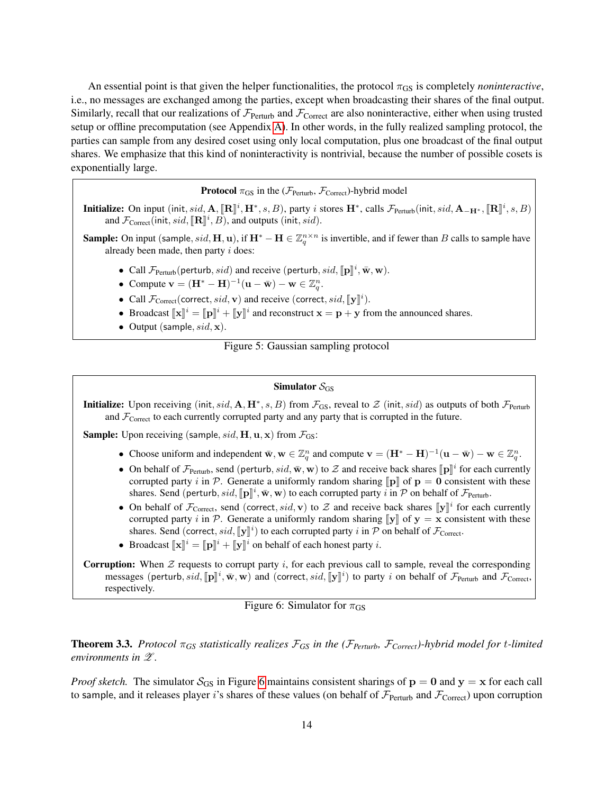An essential point is that given the helper functionalities, the protocol  $\pi_{GS}$  is completely *noninteractive*, i.e., no messages are exchanged among the parties, except when broadcasting their shares of the final output. Similarly, recall that our realizations of  $\mathcal{F}_{Perturb}$  and  $\mathcal{F}_{Conrect}$  are also noninteractive, either when using trusted setup or offline precomputation (see Appendix [A\)](#page-20-4). In other words, in the fully realized sampling protocol, the parties can sample from any desired coset using only local computation, plus one broadcast of the final output shares. We emphasize that this kind of noninteractivity is nontrivial, because the number of possible cosets is exponentially large.

**Protocol**  $\pi_{GS}$  in the ( $\mathcal{F}_{Perturb}$ ,  $\mathcal{F}_{Correct}$ )-hybrid model

**Initialize:** On input (init, sid, A,  $[\mathbb{R}]^i$ , H<sup>\*</sup>, s, B), party *i* stores  $\mathbb{H}^*$ , calls  $\mathcal{F}_{\text{Perturb}}(\text{init}, sid, \mathbb{A}_{-\mathbb{H}^*}, [\mathbb{R}]^i, s, B)$ and  $\mathcal{F}_{\text{Correct}}(\text{init}, sid, [\mathbb{R}]]^i, B)$ , and outputs (init,  $sid$ ).

**Sample:** On input (sample,  $sid$ , **H**, **u**), if  $H^* - H \in \mathbb{Z}_q^{n \times n}$  is invertible, and if fewer than B calls to sample have already been made, then party i does:

- Call  $\mathcal{F}_{\text{Perturb}}(\text{perturb}, sid)$  and receive (perturb,  $sid$ ,  $[\mathbf{p}]^i$ ,  $\bar{\mathbf{w}}, \mathbf{w}$ ).
- Compute  $\mathbf{v} = (\mathbf{H}^* \mathbf{H})^{-1}(\mathbf{u} \bar{\mathbf{w}}) \mathbf{w} \in \mathbb{Z}_q^n$ .
- Call  $\mathcal{F}_{\text{Correct}}(\text{correct}, sid, \mathbf{v})$  and receive (correct,  $sid, \llbracket \mathbf{y} \rrbracket^i)$ ).
- Broadcast  $[\![\mathbf{x}]\!]^i = [\![\mathbf{p}]\!]^i + [\![\mathbf{y}]\!]^i$  and reconstruct  $\mathbf{x} = \mathbf{p} + \mathbf{y}$  from the announced shares.
- Output (sample,  $sid$ ,  $x$ ).

<span id="page-14-0"></span>Figure 5: Gaussian sampling protocol

# Simulator  $S_{GS}$

**Initialize:** Upon receiving (init, sid,  $A, H^*, s, B$ ) from  $\mathcal{F}_{GS}$ , reveal to  $\mathcal{Z}$  (init, sid) as outputs of both  $\mathcal{F}_{Perturb}$ and  $\mathcal{F}_{\text{Correct}}$  to each currently corrupted party and any party that is corrupted in the future.

**Sample:** Upon receiving (sample, sid,  $H$ ,  $u$ ,  $x$ ) from  $\mathcal{F}_{GS}$ :

- Choose uniform and independent  $\bar{\mathbf{w}}, \mathbf{w} \in \mathbb{Z}_q^n$  and compute  $\mathbf{v} = (\mathbf{H}^* \mathbf{H})^{-1}(\mathbf{u} \bar{\mathbf{w}}) \mathbf{w} \in \mathbb{Z}_q^n$ .
- On behalf of  $\mathcal{F}_{\text{Perturb}}$ , send (perturb, sid,  $\bar{\mathbf{w}}$ ,  $\mathbf{w}$ ) to  $\mathcal{Z}$  and receive back shares  $[\![\mathbf{p}]\!]^i$  for each currently corrupted party i.i.  $\mathcal{P}_{\text{C}}$  Constant a uniformly random sharing  $[\![\mathbf$ corrupted party i in P. Generate a uniformly random sharing  $\llbracket p \rrbracket$  of  $p = 0$  consistent with these shares. Send (perturb, sid,  $[\mathbf{p}]^i$ ,  $\bar{\mathbf{w}}$ ,  $\mathbf{w}$ ) to each corrupted party i in  $\mathcal P$  on behalf of  $\mathcal F_{\text{Perturb}}$ .
- On behalf of  $\mathcal{F}_{\text{Correct}}$ , send (correct, sid, v) to  $\mathcal Z$  and receive back shares  $[\![\mathbf{y}]\!]^i$  for each currently<br>corrupted party i.i.  $\mathcal P$ . Generate a uniformly random sharing  $[\![\mathbf{y}]\!]$  of  $\mathbf{y} = \mathbf{x}$  cons corrupted party i in P. Generate a uniformly random sharing  $\llbracket y \rrbracket$  of  $y = x$  consistent with these shares. Send (correct, sid,  $[\![\mathbf{y}]\!]^i$ ) to each corrupted party i in  $\mathcal P$  on behalf of  $\mathcal F_{\text{Correct}}$ .
- Broadcast  $[\![\mathbf{x}]\!]^i = [\![\mathbf{p}]\!]^i + [\![\mathbf{y}]\!]^i$  on behalf of each honest party *i*.

**Corruption:** When  $Z$  requests to corrupt party  $i$ , for each previous call to sample, reveal the corresponding messages (perturb, sid,  $[\![\mathbf{p}]\!]^i$ ,  $\bar{\mathbf{w}}$ ,  $\mathbf{w}$ ) and (correct, sid,  $[\![\mathbf{y}]\!]^i$ ) to party i on behalf of  $\mathcal{F}_{\text{Perturb}}$  and  $\mathcal{F}_{\text{Correct}}$ , respectively.

<span id="page-14-2"></span>Figure 6: Simulator for  $\pi$ <sub>GS</sub>

<span id="page-14-1"></span>**Theorem 3.3.** Protocol  $\pi_{GS}$  statistically realizes  $\mathcal{F}_{GS}$  in the ( $\mathcal{F}_{Perturb}$ ,  $\mathcal{F}_{Correct}$ )-hybrid model for t-limited *environments in*  $\mathscr{Z}$ *.* 

*Proof sketch.* The simulator  $S_{GS}$  in Figure [6](#page-14-2) maintains consistent sharings of  $p = 0$  and  $y = x$  for each call to sample, and it releases player i's shares of these values (on behalf of  $\mathcal{F}_{Perturb}$  and  $\mathcal{F}_{Correct}$ ) upon corruption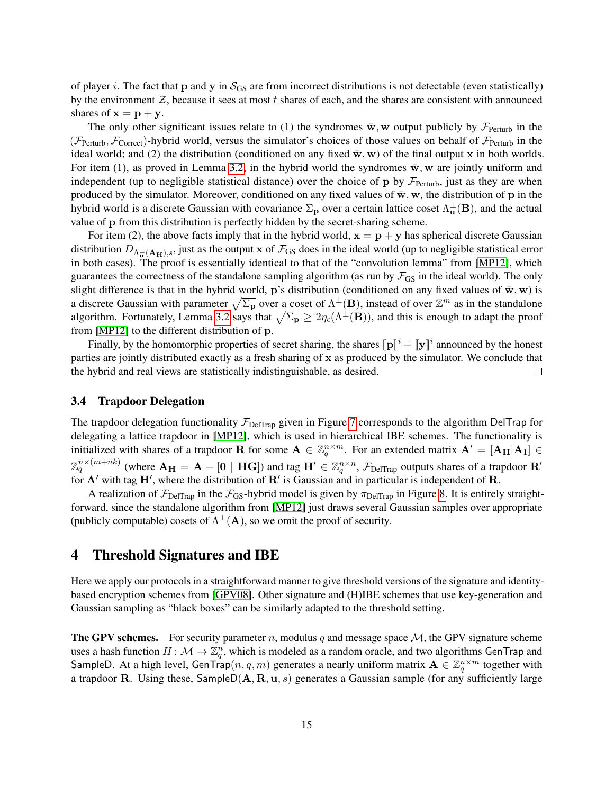of player i. The fact that p and y in  $S_{GS}$  are from incorrect distributions is not detectable (even statistically) by the environment  $Z$ , because it sees at most t shares of each, and the shares are consistent with announced shares of  $x = p + y$ .

The only other significant issues relate to (1) the syndromes  $\bar{w}$ , w output publicly by  $\mathcal{F}_{\text{Perturb}}$  in the ( $\mathcal{F}_{\text{Perturb}}$ ,  $\mathcal{F}_{\text{Correct}}$ )-hybrid world, versus the simulator's choices of those values on behalf of  $\mathcal{F}_{\text{Perturb}}$  in the ideal world; and (2) the distribution (conditioned on any fixed  $\bar{w}$ , w) of the final output x in both worlds. For item (1), as proved in Lemma [3.2,](#page-10-0) in the hybrid world the syndromes  $\bar{w}$ , w are jointly uniform and independent (up to negligible statistical distance) over the choice of p by  $\mathcal{F}_{\text{Perturb}}$ , just as they are when produced by the simulator. Moreover, conditioned on any fixed values of  $\bar{w}$ , w, the distribution of p in the hybrid world is a discrete Gaussian with covariance  $\Sigma_p$  over a certain lattice coset  $\Lambda_u^{\perp}(B)$ , and the actual value of p from this distribution is perfectly hidden by the secret-sharing scheme.

For item (2), the above facts imply that in the hybrid world,  $x = p + y$  has spherical discrete Gaussian distribution  $D_{\Lambda_{\mathbf{u}}^{\perp}(\mathbf{A}_{\mathbf{H}}),s}$ , just as the output x of  $\mathcal{F}_{\text{GS}}$  does in the ideal world (up to negligible statistical error in both cases). The proof is essentially identical to that of the "convolution lemma" from [\[MP12\]](#page-19-6), which guarantees the correctness of the standalone sampling algorithm (as run by  $\mathcal{F}_{GS}$  in the ideal world). The only slight difference is that in the hybrid world, p's distribution (conditioned on any fixed values of  $\bar{w}$ , w) is a discrete Gaussian with parameter  $\sqrt{\Sigma_p}$  over a coset of  $\Lambda^{\perp}(B)$ , instead of over  $\mathbb{Z}^m$  as in the standalone algorithm. Fortunately, Lemma [3.2](#page-10-0) says that  $\sqrt{\Sigma_p} \ge 2\eta_\epsilon(\Lambda^\perp(B))$ , and this is enough to adapt the proof from [\[MP12\]](#page-19-6) to the different distribution of p.

Finally, by the homomorphic properties of secret sharing, the shares  $[\![\mathbf{p}]\!]^i + [\![\mathbf{y}]\!]^i$  announced by the honest<br>issues in initial distributed exactly as a fresh sharing of x as produced by the simulator. We concl parties are jointly distributed exactly as a fresh sharing of x as produced by the simulator. We conclude that the hybrid and real views are statistically indistinguishable, as desired. □

## <span id="page-15-1"></span>3.4 Trapdoor Delegation

The trapdoor delegation functionality  $\mathcal{F}_{\text{DelTrap}}$  given in Figure [7](#page-16-0) corresponds to the algorithm DelTrap for delegating a lattice trapdoor in [\[MP12\]](#page-19-6), which is used in hierarchical IBE schemes. The functionality is initialized with shares of a trapdoor **R** for some  $A \in \mathbb{Z}_q^{n \times m}$ . For an extended matrix  $A' = [A_H | A_1] \in$  $\mathbb{Z}_q^{n\times (m+nk)}$  (where  ${\bf A_H}={\bf A}-[{\bf 0}\mid {\bf H} {\bf G}])$  and tag  ${\bf H}'\in \mathbb{Z}_q^{n\times n}$ ,  $\mathcal{F}_{\rm{DelTrap}}$  outputs shares of a trapdoor  ${\bf R}'$ for  $A'$  with tag  $H'$ , where the distribution of  $R'$  is Gaussian and in particular is independent of R.

A realization of  $\mathcal{F}_{\text{DelTrap}}$  in the  $\mathcal{F}_{\text{GS}}$ -hybrid model is given by  $\pi_{\text{DelTrap}}$  in Figure [8.](#page-16-1) It is entirely straightforward, since the standalone algorithm from [\[MP12\]](#page-19-6) just draws several Gaussian samples over appropriate (publicly computable) cosets of  $\Lambda^{\perp}(A)$ , so we omit the proof of security.

# <span id="page-15-0"></span>4 Threshold Signatures and IBE

Here we apply our protocols in a straightforward manner to give threshold versions of the signature and identitybased encryption schemes from [\[GPV08\]](#page-19-2). Other signature and (H)IBE schemes that use key-generation and Gaussian sampling as "black boxes" can be similarly adapted to the threshold setting.

**The GPV schemes.** For security parameter n, modulus q and message space  $M$ , the GPV signature scheme uses a hash function  $H \colon \mathcal{M} \to \mathbb{Z}_q^n$ , which is modeled as a random oracle, and two algorithms GenTrap and SampleD. At a high level, GenTrap $(n, q, m)$  generates a nearly uniform matrix  $\mathbf{A} \in \mathbb{Z}_q^{n \times m}$  together with a trapdoor R. Using these, SampleD( $A, R, u, s$ ) generates a Gaussian sample (for any sufficiently large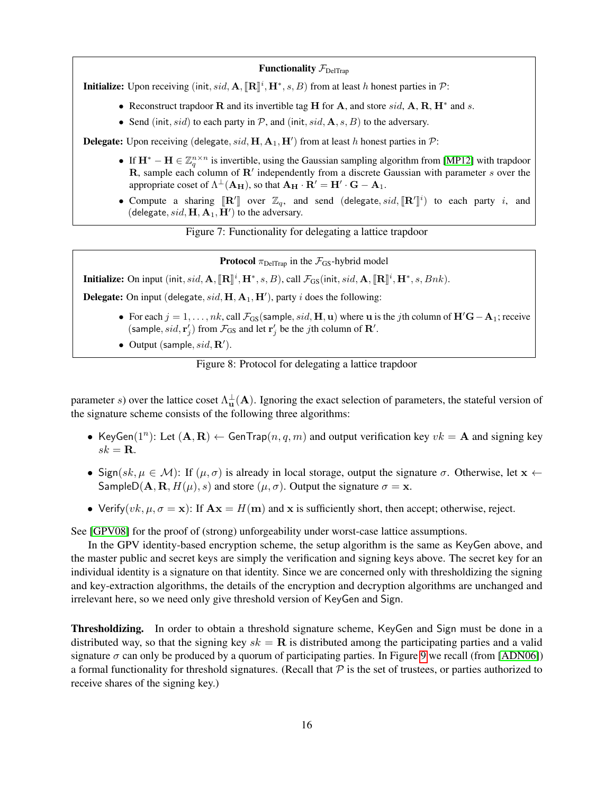#### **Functionality**  $\mathcal{F}_{\text{DeITran}}$

**Initialize:** Upon receiving (init, sid,  $\mathbf{A}$ ,  $[\mathbb{R}]^i$ ,  $\mathbf{H}^*, s, B$ ) from at least h honest parties in  $\mathcal{P}$ :

- Reconstruct trapdoor  $R$  and its invertible tag  $H$  for  $A$ , and store  $sid$ ,  $A$ ,  $R$ ,  $H^*$  and  $s$ .
- Send (init, sid) to each party in  $P$ , and (init, sid,  $A$ , s, B) to the adversary.

**Delegate:** Upon receiving (delegate,  $sid$ ,  $H$ ,  $A_1$ ,  $H'$ ) from at least h honest parties in  $P$ :

- If  $\mathbf{H}^* \mathbf{H} \in \mathbb{Z}_q^{n \times n}$  is invertible, using the Gaussian sampling algorithm from [\[MP12\]](#page-19-6) with trapdoor R, sample each column of R' independently from a discrete Gaussian with parameter s over the appropriate coset of  $\Lambda^{\perp}(\mathbf{A_H})$ , so that  $\mathbf{A_H} \cdot \mathbf{R'} = \mathbf{H'} \cdot \mathbf{G} - \mathbf{A_1}$ .
- Compute a sharing  $[\mathbb{R}^n]$  over  $\mathbb{Z}_q$ , and send (delegate, sid,  $[\mathbb{R}^n]$ ) (delegate, sid,  $[\mathbb{R}^n]$ )  $(i)$  to each party i, and (delegate,  $sid$ ,  $\mathbf{H}, \mathbf{A}_1, \mathbf{H}'$ ) to the adversary.

Figure 7: Functionality for delegating a lattice trapdoor

<span id="page-16-0"></span>**Protocol**  $\pi_{\text{DeITran}}$  in the  $\mathcal{F}_{\text{GS}}$ -hybrid model

**Initialize:** On input (init, sid, A,  $[\mathbb{R}]^i$ , H<sup>\*</sup>, s, B), call  $\mathcal{F}_{GS}$ (init, sid, A,  $[\mathbb{R}]^i$ , H<sup>\*</sup>, s, Bnk).

**Delegate:** On input (delegate,  $sid$ ,  $H$ ,  $A_1$ ,  $H'$ ), party i does the following:

- For each  $j = 1, \ldots, nk$ , call  $\mathcal{F}_{GS}$  (sample, sid, H, u) where u is the jth column of  $H'G-A_1$ ; receive (sample,  $sid, r'_j$ ) from  $\mathcal{F}_{GS}$  and let  $r'_j$  be the *j*th column of **R'**.
- Output (sample,  $sid$ ,  $\mathbb{R}'$ ).

<span id="page-16-1"></span>Figure 8: Protocol for delegating a lattice trapdoor

parameter s) over the lattice coset  $\Lambda_u^{\perp}(A)$ . Ignoring the exact selection of parameters, the stateful version of the signature scheme consists of the following three algorithms:

- KeyGen(1<sup>n</sup>): Let  $(A, R) \leftarrow$  GenTrap $(n, q, m)$  and output verification key  $vk = A$  and signing key  $sk = \mathbf{R}$ .
- Sign(sk,  $\mu \in \mathcal{M}$ ): If  $(\mu, \sigma)$  is already in local storage, output the signature  $\sigma$ . Otherwise, let  $\mathbf{x} \leftarrow$ SampleD( $\mathbf{A}, \mathbf{R}, H(\mu), s$ ) and store  $(\mu, \sigma)$ . Output the signature  $\sigma = \mathbf{x}$ .
- Verify(vk,  $\mu$ ,  $\sigma = \mathbf{x}$ ): If  $\mathbf{A}\mathbf{x} = H(\mathbf{m})$  and x is sufficiently short, then accept; otherwise, reject.

See [\[GPV08\]](#page-19-2) for the proof of (strong) unforgeability under worst-case lattice assumptions.

In the GPV identity-based encryption scheme, the setup algorithm is the same as KeyGen above, and the master public and secret keys are simply the verification and signing keys above. The secret key for an individual identity is a signature on that identity. Since we are concerned only with thresholdizing the signing and key-extraction algorithms, the details of the encryption and decryption algorithms are unchanged and irrelevant here, so we need only give threshold version of KeyGen and Sign.

Thresholdizing. In order to obtain a threshold signature scheme, KeyGen and Sign must be done in a distributed way, so that the signing key  $sk = \mathbf{R}$  is distributed among the participating parties and a valid signature  $\sigma$  can only be produced by a quorum of participating parties. In Figure [9](#page-17-5) we recall (from [\[ADN06\]](#page-17-4)) a formal functionality for threshold signatures. (Recall that  $P$  is the set of trustees, or parties authorized to receive shares of the signing key.)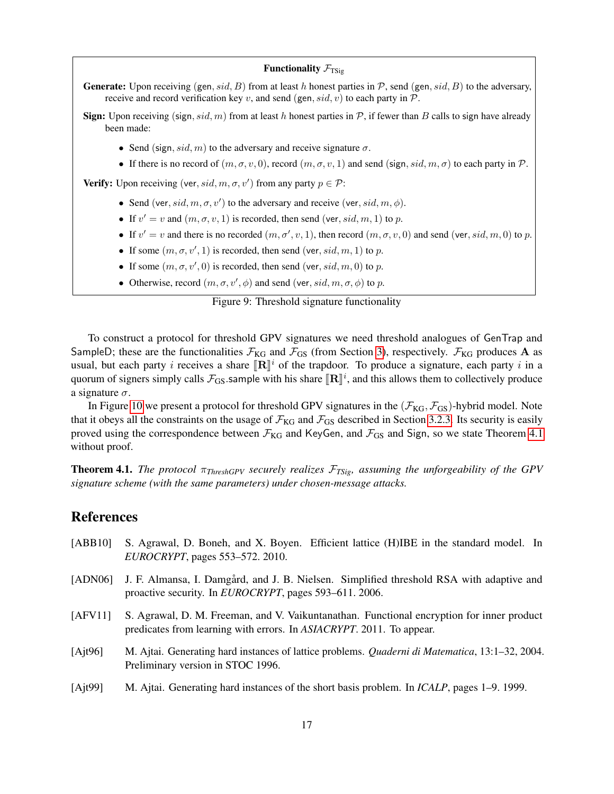#### **Functionality**  $\mathcal{F}_{TSio}$

**Generate:** Upon receiving (gen, sid, B) from at least h honest parties in  $P$ , send (gen, sid, B) to the adversary, receive and record verification key v, and send (gen,  $sid, v$ ) to each party in  $P$ .

**Sign:** Upon receiving (sign, sid, m) from at least h honest parties in  $P$ , if fewer than B calls to sign have already been made:

- Send (sign, sid, m) to the adversary and receive signature  $\sigma$ .
- If there is no record of  $(m, \sigma, v, 0)$ , record  $(m, \sigma, v, 1)$  and send (sign, sid, m,  $\sigma$ ) to each party in P.

**Verify:** Upon receiving (ver,  $sid, m, \sigma, v'$ ) from any party  $p \in \mathcal{P}$ :

- Send (ver, sid,  $m, \sigma, v'$ ) to the adversary and receive (ver, sid,  $m, \phi$ ).
- If  $v' = v$  and  $(m, \sigma, v, 1)$  is recorded, then send (ver, sid, m, 1) to p.
- If  $v' = v$  and there is no recorded  $(m, \sigma', v, 1)$ , then record  $(m, \sigma, v, 0)$  and send (ver, sid, m, 0) to p.
- If some  $(m, \sigma, v', 1)$  is recorded, then send (ver, sid, m, 1) to p.
- If some  $(m, \sigma, v', 0)$  is recorded, then send (ver, sid, m, 0) to p.
- Otherwise, record  $(m, \sigma, v', \phi)$  and send (ver, sid,  $m, \sigma, \phi$ ) to p.

<span id="page-17-5"></span>Figure 9: Threshold signature functionality

To construct a protocol for threshold GPV signatures we need threshold analogues of GenTrap and SampleD; these are the functionalities  $\mathcal{F}_{KG}$  and  $\mathcal{F}_{GS}$  (from Section [3\)](#page-8-0), respectively.  $\mathcal{F}_{KG}$  produces A as usual, but each party *i* receives a share  $[\mathbb{R}]^i$  of the trapdoor. To produce a signature, each party *i* in a quorum of signate simply calls  $\mathcal{F}_{\text{tot}}$  comple with his share  $[\mathbf{P}]^i$  and this allows them to coll quorum of signers simply calls  $\mathcal{F}_{GS}$ . sample with his share  $[\mathbb{R}]^i$ , and this allows them to collectively produce a signature  $\sigma$ .

In Figure [10](#page-18-8) we present a protocol for threshold GPV signatures in the  $(\mathcal{F}_{KG}, \mathcal{F}_{GS})$ -hybrid model. Note that it obeys all the constraints on the usage of  $\mathcal{F}_{KG}$  and  $\mathcal{F}_{GS}$  described in Section [3.2.3.](#page-12-1) Its security is easily proved using the correspondence between  $\mathcal{F}_{KG}$  and KeyGen, and  $\mathcal{F}_{GS}$  and Sign, so we state Theorem [4.1](#page-17-6) without proof.

<span id="page-17-6"></span>Theorem 4.1. *The protocol* π*ThreshGPV securely realizes* F*TSig, assuming the unforgeability of the GPV signature scheme (with the same parameters) under chosen-message attacks.*

# References

- <span id="page-17-0"></span>[ABB10] S. Agrawal, D. Boneh, and X. Boyen. Efficient lattice (H)IBE in the standard model. In *EUROCRYPT*, pages 553–572. 2010.
- <span id="page-17-4"></span>[ADN06] J. F. Almansa, I. Damgård, and J. B. Nielsen. Simplified threshold RSA with adaptive and proactive security. In *EUROCRYPT*, pages 593–611. 2006.
- <span id="page-17-1"></span>[AFV11] S. Agrawal, D. M. Freeman, and V. Vaikuntanathan. Functional encryption for inner product predicates from learning with errors. In *ASIACRYPT*. 2011. To appear.
- <span id="page-17-3"></span>[Ajt96] M. Ajtai. Generating hard instances of lattice problems. *Quaderni di Matematica*, 13:1–32, 2004. Preliminary version in STOC 1996.
- <span id="page-17-2"></span>[Ajt99] M. Ajtai. Generating hard instances of the short basis problem. In *ICALP*, pages 1–9. 1999.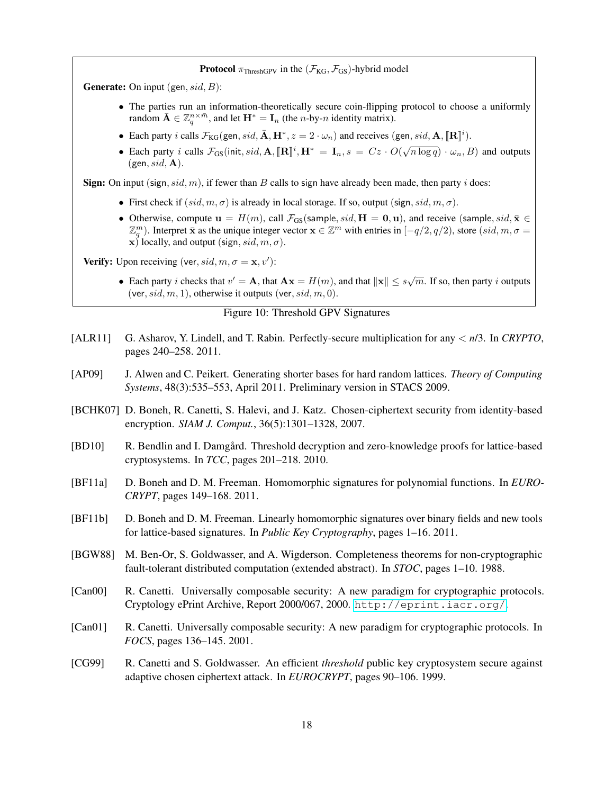#### **Protocol**  $\pi_{\text{ThreshGPV}}$  in the  $(\mathcal{F}_{\text{KG}}, \mathcal{F}_{\text{GS}})$ -hybrid model

**Generate:** On input (gen,  $sid$ , B):

- The parties run an information-theoretically secure coin-flipping protocol to choose a uniformly random  $\bar{\mathbf{A}} \in \mathbb{Z}_q^{n \times \bar{m}}$ , and let  $\mathbf{H}^* = \mathbf{I}_n$  (the *n*-by-*n* identity matrix).
- Each party *i* calls  $\mathcal{F}_{KG}(\text{gen}, sid, \bar{\mathbf{A}}, \mathbf{H}^*, z = 2 \cdot \omega_n)$  and receives (gen, *sid*, **A**,  $[\mathbf{R}]^i$ ).
- Each party *i* calls  $\mathcal{F}_{GS}$ (init, sid,  $\mathbf{A}$ ,  $[\mathbf{R}]$ <sup>*i*</sup>,  $\mathbf{H}^* = \mathbf{I}_n$ ,  $s = Cz \cdot O(\sqrt{n \log q}) \cdot \omega_n$ , *B*) and outputs  $(gen, sid, A).$

**Sign:** On input (sign, sid, m), if fewer than B calls to sign have already been made, then party i does:

- First check if  $(sid, m, \sigma)$  is already in local storage. If so, output (sign,  $sid, m, \sigma)$ .
- Otherwise, compute  $u = H(m)$ , call  $\mathcal{F}_{GS}$  (sample, sid,  $H = 0, u$ ), and receive (sample, sid,  $\bar{x} \in$  $\mathbb{Z}_q^m$ ). Interpret  $\bar{\mathbf{x}}$  as the unique integer vector  $\mathbf{x} \in \mathbb{Z}^m$  with entries in  $[-q/2, q/2)$ , store  $(id, m, \sigma =$ x) locally, and output (sign,  $sid, m, \sigma$ ).

**Verify:** Upon receiving (ver,  $sid, m, \sigma = \mathbf{x}, v')$ ):

• Each party *i* checks that  $v' = A$ , that  $A x = H(m)$ , and that  $||x|| \le s\sqrt{m}$ . If so, then party *i* outputs (ver,  $sid, m, 1)$ , otherwise it outputs (ver,  $sid, m, 0)$ .

#### <span id="page-18-8"></span>Figure 10: Threshold GPV Signatures

- <span id="page-18-10"></span>[ALR11] G. Asharov, Y. Lindell, and T. Rabin. Perfectly-secure multiplication for any < *n*/3. In *CRYPTO*, pages 240–258. 2011.
- <span id="page-18-3"></span>[AP09] J. Alwen and C. Peikert. Generating shorter bases for hard random lattices. *Theory of Computing Systems*, 48(3):535–553, April 2011. Preliminary version in STACS 2009.
- <span id="page-18-5"></span>[BCHK07] D. Boneh, R. Canetti, S. Halevi, and J. Katz. Chosen-ciphertext security from identity-based encryption. *SIAM J. Comput.*, 36(5):1301–1328, 2007.
- <span id="page-18-6"></span>[BD10] R. Bendlin and I. Damgård. Threshold decryption and zero-knowledge proofs for lattice-based cryptosystems. In *TCC*, pages 201–218. 2010.
- <span id="page-18-2"></span>[BF11a] D. Boneh and D. M. Freeman. Homomorphic signatures for polynomial functions. In *EURO-CRYPT*, pages 149–168. 2011.
- <span id="page-18-1"></span>[BF11b] D. Boneh and D. M. Freeman. Linearly homomorphic signatures over binary fields and new tools for lattice-based signatures. In *Public Key Cryptography*, pages 1–16. 2011.
- <span id="page-18-9"></span>[BGW88] M. Ben-Or, S. Goldwasser, and A. Wigderson. Completeness theorems for non-cryptographic fault-tolerant distributed computation (extended abstract). In *STOC*, pages 1–10. 1988.
- <span id="page-18-7"></span>[Can00] R. Canetti. Universally composable security: A new paradigm for cryptographic protocols. Cryptology ePrint Archive, Report 2000/067, 2000. <http://eprint.iacr.org/>.
- <span id="page-18-4"></span>[Can01] R. Canetti. Universally composable security: A new paradigm for cryptographic protocols. In *FOCS*, pages 136–145. 2001.
- <span id="page-18-0"></span>[CG99] R. Canetti and S. Goldwasser. An efficient *threshold* public key cryptosystem secure against adaptive chosen ciphertext attack. In *EUROCRYPT*, pages 90–106. 1999.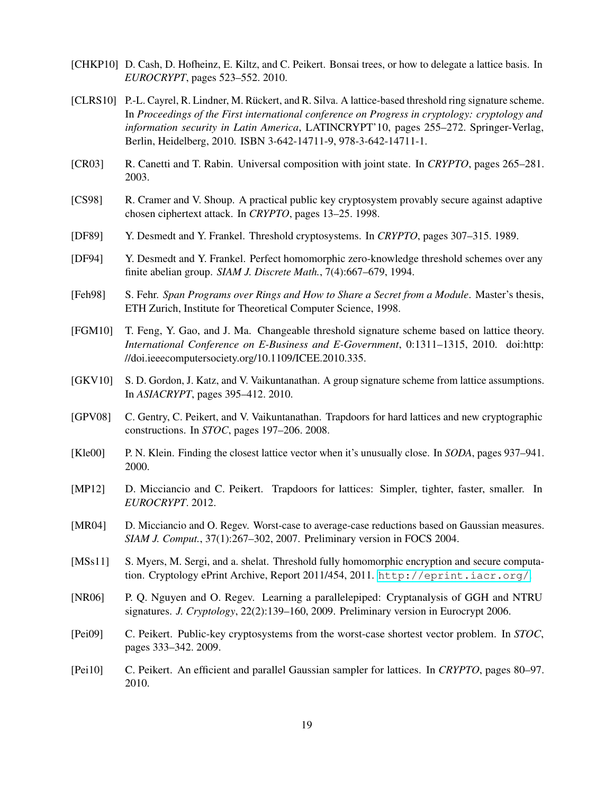- <span id="page-19-3"></span>[CHKP10] D. Cash, D. Hofheinz, E. Kiltz, and C. Peikert. Bonsai trees, or how to delegate a lattice basis. In *EUROCRYPT*, pages 523–552. 2010.
- <span id="page-19-13"></span>[CLRS10] P.-L. Cayrel, R. Lindner, M. Rückert, and R. Silva. A lattice-based threshold ring signature scheme. In *Proceedings of the First international conference on Progress in cryptology: cryptology and information security in Latin America*, LATINCRYPT'10, pages 255–272. Springer-Verlag, Berlin, Heidelberg, 2010. ISBN 3-642-14711-9, 978-3-642-14711-1.
- <span id="page-19-16"></span>[CR03] R. Canetti and T. Rabin. Universal composition with joint state. In *CRYPTO*, pages 265–281. 2003.
- <span id="page-19-1"></span>[CS98] R. Cramer and V. Shoup. A practical public key cryptosystem provably secure against adaptive chosen ciphertext attack. In *CRYPTO*, pages 13–25. 1998.
- <span id="page-19-0"></span>[DF89] Y. Desmedt and Y. Frankel. Threshold cryptosystems. In *CRYPTO*, pages 307–315. 1989.
- <span id="page-19-14"></span>[DF94] Y. Desmedt and Y. Frankel. Perfect homomorphic zero-knowledge threshold schemes over any finite abelian group. *SIAM J. Discrete Math.*, 7(4):667–679, 1994.
- <span id="page-19-15"></span>[Feh98] S. Fehr. *Span Programs over Rings and How to Share a Secret from a Module*. Master's thesis, ETH Zurich, Institute for Theoretical Computer Science, 1998.
- <span id="page-19-11"></span>[FGM10] T. Feng, Y. Gao, and J. Ma. Changeable threshold signature scheme based on lattice theory. *International Conference on E-Business and E-Government*, 0:1311–1315, 2010. doi:http: //doi.ieeecomputersociety.org/10.1109/ICEE.2010.335.
- <span id="page-19-4"></span>[GKV10] S. D. Gordon, J. Katz, and V. Vaikuntanathan. A group signature scheme from lattice assumptions. In *ASIACRYPT*, pages 395–412. 2010.
- <span id="page-19-2"></span>[GPV08] C. Gentry, C. Peikert, and V. Vaikuntanathan. Trapdoors for hard lattices and new cryptographic constructions. In *STOC*, pages 197–206. 2008.
- <span id="page-19-8"></span>[Kle00] P. N. Klein. Finding the closest lattice vector when it's unusually close. In *SODA*, pages 937–941. 2000.
- <span id="page-19-6"></span>[MP12] D. Micciancio and C. Peikert. Trapdoors for lattices: Simpler, tighter, faster, smaller. In *EUROCRYPT*. 2012.
- <span id="page-19-7"></span>[MR04] D. Micciancio and O. Regev. Worst-case to average-case reductions based on Gaussian measures. *SIAM J. Comput.*, 37(1):267–302, 2007. Preliminary version in FOCS 2004.
- <span id="page-19-10"></span>[MSs11] S. Myers, M. Sergi, and a. shelat. Threshold fully homomorphic encryption and secure computation. Cryptology ePrint Archive, Report 2011/454, 2011. <http://eprint.iacr.org/>.
- <span id="page-19-12"></span>[NR06] P. Q. Nguyen and O. Regev. Learning a parallelepiped: Cryptanalysis of GGH and NTRU signatures. *J. Cryptology*, 22(2):139–160, 2009. Preliminary version in Eurocrypt 2006.
- <span id="page-19-9"></span>[Pei09] C. Peikert. Public-key cryptosystems from the worst-case shortest vector problem. In *STOC*, pages 333–342. 2009.
- <span id="page-19-5"></span>[Pei10] C. Peikert. An efficient and parallel Gaussian sampler for lattices. In *CRYPTO*, pages 80–97. 2010.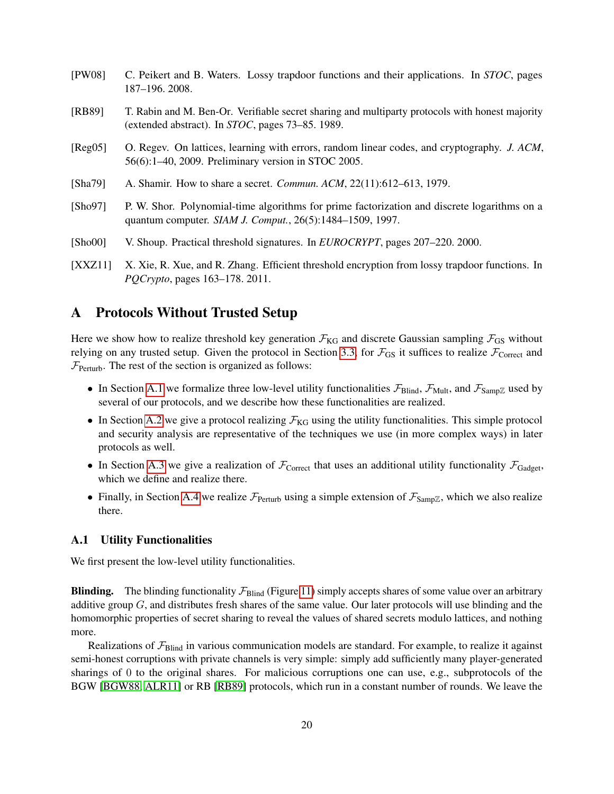<span id="page-20-7"></span><span id="page-20-3"></span><span id="page-20-2"></span>

| [PW08]    | C. Peikert and B. Waters. Lossy trapdoor functions and their applications. In STOC, pages<br>187-196.2008.                                               |
|-----------|----------------------------------------------------------------------------------------------------------------------------------------------------------|
| [RB89]    | T. Rabin and M. Ben-Or. Verifiable secret sharing and multiparty protocols with honest majority<br>(extended abstract). In STOC, pages 73–85. 1989.      |
| [Reg05]   | O. Regev. On lattices, learning with errors, random linear codes, and cryptography. J. ACM,<br>56(6):1–40, 2009. Preliminary version in STOC 2005.       |
| [Sha79]   | A. Shamir. How to share a secret. <i>Commun. ACM</i> , 22(11):612–613, 1979.                                                                             |
| [Sho97]   | P. W. Shor. Polynomial-time algorithms for prime factorization and discrete logarithms on a<br>quantum computer. SIAM J. Comput., 26(5):1484–1509, 1997. |
| [Sho00]   | V. Shoup. Practical threshold signatures. In <i>EUROCRYPT</i> , pages 207–220. 2000.                                                                     |
| TV V 7111 | Y Yie P Yue and P Zhang Efficient threshold encryption from lossy trandoor functions. In                                                                 |

<span id="page-20-8"></span><span id="page-20-6"></span><span id="page-20-1"></span><span id="page-20-0"></span>[XXZ11] X. Xie, R. Xue, and R. Zhang. Efficient threshold encryption from lossy trapdoor functions. In *PQCrypto*, pages 163–178. 2011.

# <span id="page-20-4"></span>A Protocols Without Trusted Setup

Here we show how to realize threshold key generation  $\mathcal{F}_{KG}$  and discrete Gaussian sampling  $\mathcal{F}_{GS}$  without relying on any trusted setup. Given the protocol in Section [3.3,](#page-13-0) for  $\mathcal{F}_{GS}$  it suffices to realize  $\mathcal{F}_{Correct}$  and  $\mathcal{F}_{\text{Perturb}}$ . The rest of the section is organized as follows:

- In Section [A.1](#page-20-5) we formalize three low-level utility functionalities  $\mathcal{F}_{\text{Blind}}$ ,  $\mathcal{F}_{\text{Mult}}$ , and  $\mathcal{F}_{\text{SampZ}}$  used by several of our protocols, and we describe how these functionalities are realized.
- In Section [A.2](#page-22-0) we give a protocol realizing  $\mathcal{F}_{KG}$  using the utility functionalities. This simple protocol and security analysis are representative of the techniques we use (in more complex ways) in later protocols as well.
- In Section [A.3](#page-23-0) we give a realization of  $\mathcal{F}_{\text{Correct}}$  that uses an additional utility functionality  $\mathcal{F}_{\text{Gadget}}$ , which we define and realize there.
- Finally, in Section [A.4](#page-26-0) we realize  $\mathcal{F}_{\text{Perturb}}$  using a simple extension of  $\mathcal{F}_{\text{SampZ}}$ , which we also realize there.

# <span id="page-20-5"></span>A.1 Utility Functionalities

We first present the low-level utility functionalities.

**Blinding.** The blinding functionality  $\mathcal{F}_{\text{Blind}}$  (Figure [11\)](#page-21-0) simply accepts shares of some value over an arbitrary additive group  $G$ , and distributes fresh shares of the same value. Our later protocols will use blinding and the homomorphic properties of secret sharing to reveal the values of shared secrets modulo lattices, and nothing more.

Realizations of  $\mathcal{F}_{\text{Blind}}$  in various communication models are standard. For example, to realize it against semi-honest corruptions with private channels is very simple: simply add sufficiently many player-generated sharings of 0 to the original shares. For malicious corruptions one can use, e.g., subprotocols of the BGW [\[BGW88,](#page-18-9) [ALR11\]](#page-18-10) or RB [\[RB89\]](#page-20-3) protocols, which run in a constant number of rounds. We leave the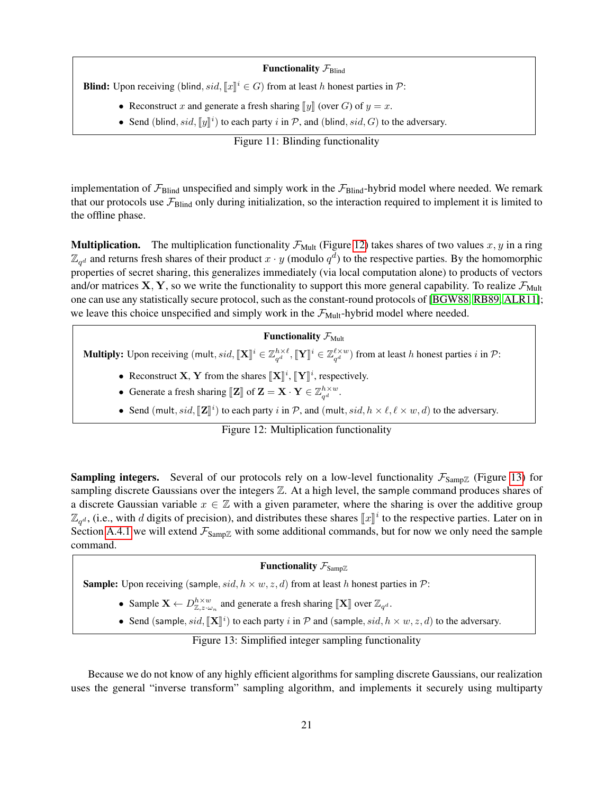#### **Functionality**  $\mathcal{F}_{\text{Blind}}$

**Blind:** Upon receiving (blind,  $sid$ ,  $[[x]]^i \in G$ ) from at least h honest parties in  $\mathcal{P}$ :

- Reconstruct x and generate a fresh sharing  $\llbracket y \rrbracket$  (over G) of  $y = x$ .
- Send (blind, sid,  $[\![y]\!]^i$ ) to each party i in  $P$ , and (blind, sid, G) to the adversary.

<span id="page-21-0"></span>Figure 11: Blinding functionality

implementation of  $\mathcal{F}_{\text{Blind}}$  unspecified and simply work in the  $\mathcal{F}_{\text{Blind}}$ -hybrid model where needed. We remark that our protocols use  $\mathcal{F}_{\text{Blind}}$  only during initialization, so the interaction required to implement it is limited to the offline phase.

**Multiplication.** The multiplication functionality  $\mathcal{F}_{\text{Mult}}$  (Figure [12\)](#page-21-1) takes shares of two values x, y in a ring  $\mathbb{Z}_{q^d}$  and returns fresh shares of their product  $x \cdot y$  (modulo  $q^d$ ) to the respective parties. By the homomorphic properties of secret sharing, this generalizes immediately (via local computation alone) to products of vectors and/or matrices  $X, Y$ , so we write the functionality to support this more general capability. To realize  $\mathcal{F}_{Mult}$ one can use any statistically secure protocol, such as the constant-round protocols of [\[BGW88,](#page-18-9) [RB89,](#page-20-3) [ALR11\]](#page-18-10); we leave this choice unspecified and simply work in the  $\mathcal{F}_{Mult}$ -hybrid model where needed.

# Functionality  $\mathcal{F}_{\text{Mult}}$

**Multiply:** Upon receiving  $(\text{mult}, sid, \llbracket \mathbf{X} \rrbracket^i \in \mathbb{Z}_{q^d}^{h \times \ell}, \llbracket \mathbf{Y} \rrbracket^i \in \mathbb{Z}_{q^d}^{\ell \times w})$  from at least h honest parties i in  $\mathcal{P}$ :

- Reconstruct **X**, **Y** from the shares  $[\![\mathbf{X}]\!]^i$ ,  $[\![\mathbf{Y}]\!]^i$ , respectively.
- Generate a fresh sharing  $[\![\mathbf{Z}]\!]$  of  $\mathbf{Z} = \mathbf{X} \cdot \mathbf{Y} \in \mathbb{Z}_{q^d}^{h \times w}$ .
- Send (mult, sid,  $[\![\mathbf{Z}]\!]^i$ ) to each party i in  $P$ , and (mult, sid,  $h \times \ell, \ell \times w, d$ ) to the adversary.

<span id="page-21-1"></span>Figure 12: Multiplication functionality

**Sampling integers.** Several of our protocols rely on a low-level functionality  $\mathcal{F}_{Samp\mathbb{Z}}$  (Figure [13\)](#page-21-2) for sampling discrete Gaussians over the integers  $\mathbb Z$ . At a high level, the sample command produces shares of a discrete Gaussian variable  $x \in \mathbb{Z}$  with a given parameter, where the sharing is over the additive group  $\mathbb{Z}_{q^d}$ , (i.e., with d digits of precision), and distributes these shares  $\llbracket x \rrbracket^i$  to the respective parties. Later on in Section [A.4.1](#page-26-1) we will extend  $\mathcal{F}_{Samp\mathbb{Z}}$  with some additional commands, but for now we only need the sample command.

# Functionality  $\mathcal{F}_{Samp\mathbb{Z}}$

**Sample:** Upon receiving (sample,  $sid, h \times w, z, d$ ) from at least h honest parties in  $\mathcal{P}$ :

- Sample  $\mathbf{X} \leftarrow D_{\mathbb{Z},z\cdot\omega_n}^{h\times w}$  and generate a fresh sharing  $[\![\mathbf{X}]\!]$  over  $\mathbb{Z}_{q^d}$ .
- Send (sample,  $sid$ ,  $[\mathbf{X}]^i$ ) to each party i in  $P$  and (sample,  $sid$ ,  $h \times w$ ,  $z$ ,  $d$ ) to the adversary.

<span id="page-21-2"></span>Figure 13: Simplified integer sampling functionality

Because we do not know of any highly efficient algorithms for sampling discrete Gaussians, our realization uses the general "inverse transform" sampling algorithm, and implements it securely using multiparty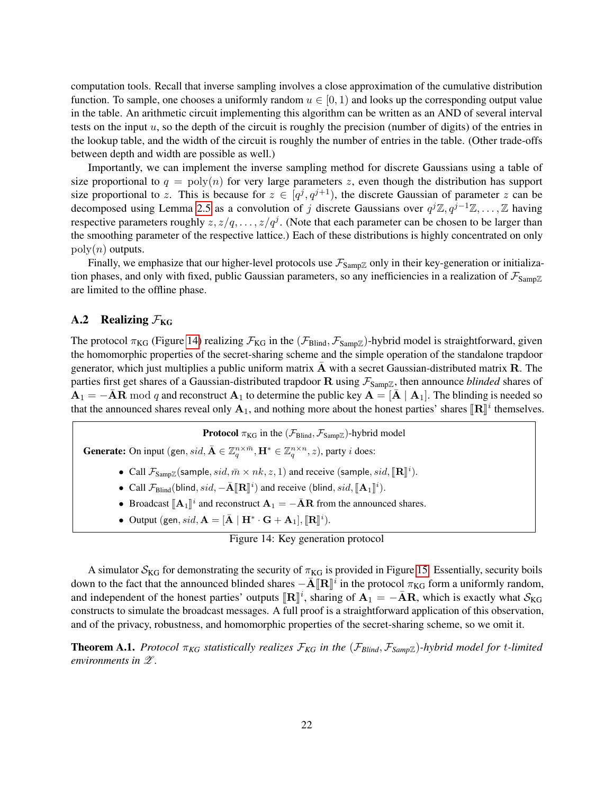computation tools. Recall that inverse sampling involves a close approximation of the cumulative distribution function. To sample, one chooses a uniformly random  $u \in [0, 1)$  and looks up the corresponding output value in the table. An arithmetic circuit implementing this algorithm can be written as an AND of several interval tests on the input u, so the depth of the circuit is roughly the precision (number of digits) of the entries in the lookup table, and the width of the circuit is roughly the number of entries in the table. (Other trade-offs between depth and width are possible as well.)

Importantly, we can implement the inverse sampling method for discrete Gaussians using a table of size proportional to  $q = \text{poly}(n)$  for very large parameters z, even though the distribution has support size proportional to z. This is because for  $z \in [q^j, q^{j+1})$ , the discrete Gaussian of parameter z can be decomposed using Lemma [2.5](#page-5-1) as a convolution of j discrete Gaussians over  $q^{j}\mathbb{Z}, q^{j-1}\mathbb{Z}, \ldots, \mathbb{Z}$  having respective parameters roughly  $z, z/q, \ldots, z/q^j$ . (Note that each parameter can be chosen to be larger than the smoothing parameter of the respective lattice.) Each of these distributions is highly concentrated on only  $\text{poly}(n)$  outputs.

Finally, we emphasize that our higher-level protocols use  $\mathcal{F}_{Samp\mathbb{Z}}$  only in their key-generation or initialization phases, and only with fixed, public Gaussian parameters, so any inefficiencies in a realization of  $\mathcal{F}_{Samp\mathbb{Z}}$ are limited to the offline phase.

# <span id="page-22-0"></span>A.2 Realizing  $\mathcal{F}_{KG}$

The protocol  $\pi_{KG}$  (Figure [14\)](#page-22-1) realizing  $\mathcal{F}_{KG}$  in the  $(\mathcal{F}_{Blind}, \mathcal{F}_{SampZ})$ -hybrid model is straightforward, given the homomorphic properties of the secret-sharing scheme and the simple operation of the standalone trapdoor generator, which just multiplies a public uniform matrix  $\overline{A}$  with a secret Gaussian-distributed matrix  $\overline{R}$ . The parties first get shares of a Gaussian-distributed trapdoor  $\bf{R}$  using  $\mathcal{F}_{Samp\mathbb{Z}}$ , then announce *blinded* shares of  $A_1 = -\overline{A}R$  mod q and reconstruct  $A_1$  to determine the public key  $A = [\overline{A} \mid A_1]$ . The blinding is needed so that the announced shares reveal only  $\mathbf{A}_1$ , and nothing more about the honest parties' shares  $[\mathbf{R}]$ <sup>i</sup> themselves.

**Protocol**  $\pi_{KG}$  in the  $(\mathcal{F}_{Blind}, \mathcal{F}_{SampZ})$ -hybrid model

**Generate:** On input (gen,  $sid$ ,  $\bar{\mathbf{A}} \in \mathbb{Z}_q^{n \times \bar{m}}$ ,  $\mathbf{H}^* \in \mathbb{Z}_q^{n \times n}$ , z), party *i* does:

- Call  $\mathcal{F}_{\text{SampZ}}(\text{sample}, sid, \bar{m} \times nk, z, 1)$  and receive (sample, sid,  $[\mathbb{R}]\]^{i}$ ).
- Call  $\mathcal{F}_{\text{Blind}}(\text{blind}, sid, -\bar{\mathbf{A}}[\mathbb{R}])^i)$  and receive (blind,  $sid, [\![\mathbf{A}_1]\!]^i)$ .
- Broadcast  $[\mathbf{A}_1]^i$  and reconstruct  $\mathbf{A}_1 = -\overline{\mathbf{A}}\mathbf{R}$  from the announced shares.
- Output (gen, sid,  $\mathbf{A} = [\bar{\mathbf{A}} \mid \mathbf{H}^* \cdot \mathbf{G} + \mathbf{A}_1], [\![\mathbf{R}]\!]^i$ ).

```
Figure 14: Key generation protocol
```
A simulator  $S_{KG}$  for demonstrating the security of  $\pi_{KG}$  is provided in Figure [15.](#page-23-1) Essentially, security boils down to the fact that the announced blinded shares  $-\bar{A}[\mathbb{R}]^{\bar{i}}$  in the protocol  $\pi_{KG}$  form a uniformly random, and independent of the honest parties' outputs  $[\mathbf{R}]^i$ , sharing of  $\mathbf{A}_1 = -\bar{\mathbf{A}}\mathbf{R}$ , which is exactly what  $S_{\text{KG}}$ constructs to simulate the broadcast messages. A full proof is a straightforward application of this observation, and of the privacy, robustness, and homomorphic properties of the secret-sharing scheme, so we omit it.

**Theorem A.1.** *Protocol*  $\pi_{KG}$  *statistically realizes*  $\mathcal{F}_{KG}$  *in the* ( $\mathcal{F}_{Blind}, \mathcal{F}_{Samp}\mathbb{Z}$ )*-hybrid model for t-limited environments in*  $\mathscr{Z}$ *.*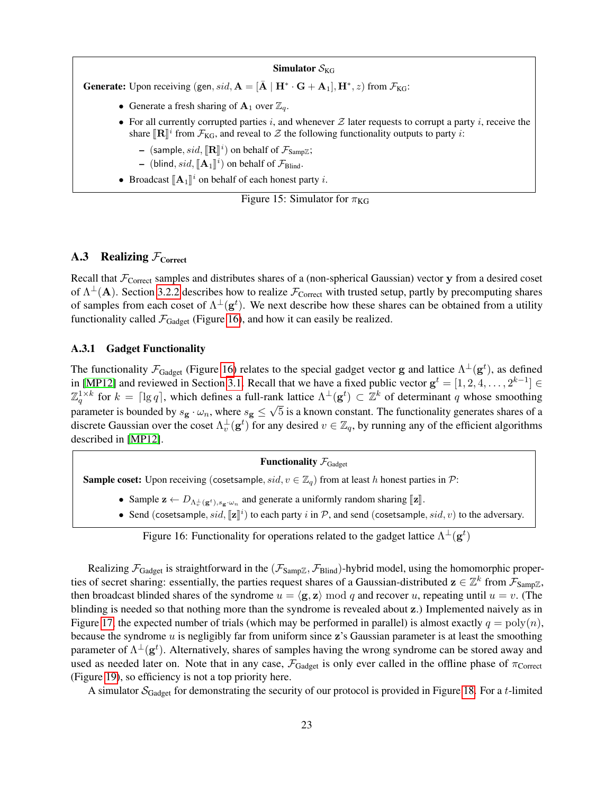#### Simulator  $S_{KG}$

**Generate:** Upon receiving (gen, sid,  $A = [\bar{A} | H^* \cdot G + A_1], H^*, z)$  from  $\mathcal{F}_{KG}$ :

- Generate a fresh sharing of  $A_1$  over  $\mathbb{Z}_q$ .
- For all currently corrupted parties i, and whenever  $Z$  later requests to corrupt a party i, receive the share  $[\mathbb{R}]^i$  from  $\mathcal{F}_{KG}$ , and reveal to  $\mathcal Z$  the following functionality outputs to party *i*:
	- $-$  (sample, sid,  $[\mathbb{R}]^i$ ) on behalf of  $\mathcal{F}_{\text{SampZ}}$ ;
	- (blind,  $sid$ ,  $[\mathbf{A}_1]^i$ ) on behalf of  $\mathcal{F}_{\text{Blind}}$ .
- Broadcast  $[\mathbf{A}_1]^i$  on behalf of each honest party *i*.

<span id="page-23-1"></span>Figure 15: Simulator for  $\pi_{\text{KG}}$ 

# <span id="page-23-0"></span>**A.3** Realizing  $\mathcal{F}_{\text{Correct}}$

Recall that  $\mathcal{F}_{\text{Correct}}$  samples and distributes shares of a (non-spherical Gaussian) vector y from a desired coset of  $\Lambda^{\perp}(A)$ . Section [3.2.2](#page-11-1) describes how to realize  $\mathcal{F}_{\text{Correct}}$  with trusted setup, partly by precomputing shares of samples from each coset of  $\Lambda^{\perp}(\mathbf{g}^t)$ . We next describe how these shares can be obtained from a utility functionality called  $\mathcal{F}_{Gadget}$  (Figure [16\)](#page-23-2), and how it can easily be realized.

#### A.3.1 Gadget Functionality

The functionality  $\mathcal{F}_{Gadget}$  (Figure [16\)](#page-23-2) relates to the special gadget vector g and lattice  $\Lambda^{\perp}(g^t)$ , as defined in [\[MP12\]](#page-19-6) and reviewed in Section [3.1.](#page-8-1) Recall that we have a fixed public vector  $g^t = [1, 2, 4, \ldots, 2^{k-1}] \in$  $\mathbb{Z}_q^{1\times k}$  for  $k = \lceil \lg q \rceil$ , which defines a full-rank lattice  $\Lambda^{\perp}(\mathbf{g}^t) \subset \mathbb{Z}^k$  of determinant q whose smoothing parameter is bounded by  $s_{\bf g} \cdot \omega_n$ , where  $s_{\bf g} \le \sqrt{5}$  is a known constant. The functionality generates shares of a discrete Gaussian over the coset  $\Lambda_v^{\perp}(\mathbf{g}^t)$  for any desired  $v \in \mathbb{Z}_q$ , by running any of the efficient algorithms described in [\[MP12\]](#page-19-6).

# **Functionality**  $\mathcal{F}_{Gadget}$

**Sample coset:** Upon receiving (cosetsample,  $sid, v \in \mathbb{Z}_q$ ) from at least h honest parties in P:

- Sample  $\mathbf{z} \leftarrow D_{\Lambda_v^{\perp}(\mathbf{g}^t), s_{\mathbf{g}} \cdot \omega_n}$  and generate a uniformly random sharing [[z]].
- Send (cosetsample,  $sid$ ,  $[\![\mathbf{z}]\!]^i$ ) to each party i in  $P$ , and send (cosetsample,  $sid$ , v) to the adversary.

<span id="page-23-2"></span>Figure 16: Functionality for operations related to the gadget lattice  $\Lambda^{\perp}(\mathbf{g}^t)$ 

Realizing  $\mathcal{F}_{Gadget}$  is straightforward in the  $(\mathcal{F}_{Samp\mathbb{Z}}, \mathcal{F}_{Blind})$ -hybrid model, using the homomorphic properties of secret sharing: essentially, the parties request shares of a Gaussian-distributed  $z \in \mathbb{Z}^k$  from  $\mathcal{F}_{Samp\mathbb{Z}}$ , then broadcast blinded shares of the syndrome  $u = \langle g, z \rangle \mod q$  and recover u, repeating until  $u = v$ . (The blinding is needed so that nothing more than the syndrome is revealed about z.) Implemented naively as in Figure [17,](#page-24-0) the expected number of trials (which may be performed in parallel) is almost exactly  $q = \text{poly}(n)$ , because the syndrome  $u$  is negligibly far from uniform since  $z$ 's Gaussian parameter is at least the smoothing parameter of  $\Lambda^{\perp}(\mathbf{g}^t)$ . Alternatively, shares of samples having the wrong syndrome can be stored away and used as needed later on. Note that in any case,  $\mathcal{F}_{Gadget}$  is only ever called in the offline phase of  $\pi_{Corret}$ (Figure [19\)](#page-25-0), so efficiency is not a top priority here.

A simulator  $S_{\text{Gadget}}$  for demonstrating the security of our protocol is provided in Figure [18.](#page-24-1) For a t-limited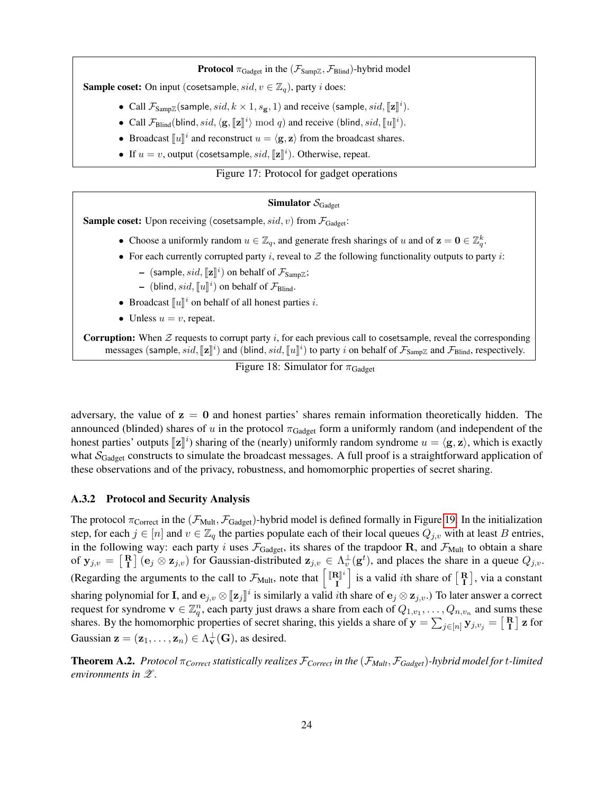**Protocol**  $\pi_{\text{Gadget}}$  in the  $(\mathcal{F}_{\text{SampZ}}, \mathcal{F}_{\text{Blind}})$ -hybrid model

**Sample coset:** On input (cosetsample,  $sid, v \in \mathbb{Z}_q$ ), party *i* does:

- Call  $\mathcal{F}_{\text{Samp}}( \text{sample}, sd, k \times 1, s_{\mathbf{g}}, 1 )$  and receive  $(\text{sample}, sid, [\mathbf{z}]]^i$ ).
- Call  $\mathcal{F}_{\text{Blind}}(\text{blind}, sid, \langle \mathbf{g}, [\![\mathbf{z}]\!]^i) \bmod q)$  and receive (blind,  $sid, [\![u]\!]^i)$ .
- Broadcast  $\llbracket u \rrbracket^i$  and reconstruct  $u = \langle \mathbf{g}, \mathbf{z} \rangle$  from the broadcast shares.
- If  $u = v$ , output (cosetsample,  $sid$ ,  $[\![\mathbf{z}]\!]^i$ ). Otherwise, repeat.

# Figure 17: Protocol for gadget operations

### <span id="page-24-0"></span>Simulator  $S_{\text{Gadoet}}$

**Sample coset:** Upon receiving (cosetsample,  $sid, v$ ) from  $\mathcal{F}_{Gadget}$ :

- Choose a uniformly random  $u \in \mathbb{Z}_q$ , and generate fresh sharings of u and of  $z = 0 \in \mathbb{Z}_q^k$ .
- For each currently corrupted party i, reveal to  $Z$  the following functionality outputs to party i:
	- $-$  (sample, sid,  $[\![z]\!]^i$ ) on behalf of  $\mathcal{F}_{\text{SampZ}}$ ;
	- (blind, sid,  $[\![u]\!]^i$ ) on behalf of  $\mathcal{F}_{\text{Blind}}$ .
- Broadcast  $\llbracket u \rrbracket^i$  on behalf of all honest parties *i*.
- Unless  $u = v$ , repeat.

**Corruption:** When  $\mathcal Z$  requests to corrupt party i, for each previous call to cosetsample, reveal the corresponding messages (sample, sid,  $[\![\mathbf{z}]\!]^i$ ) and (blind, sid,  $[\![u]\!]^i$ ) to party i on behalf of  $\mathcal{F}_{\text{SampZ}}$  and  $\mathcal{F}_{\text{Blind}}$ , respectively.

# <span id="page-24-1"></span>Figure 18: Simulator for  $\pi_{Gadget}$

adversary, the value of  $z = 0$  and honest parties' shares remain information theoretically hidden. The announced (blinded) shares of u in the protocol  $\pi_{Gadget}$  form a uniformly random (and independent of the honest parties' outputs  $[\mathbf{z}]\]$ <sup>i</sup>) sharing of the (nearly) uniformly random syndrome  $u = \langle \mathbf{g}, \mathbf{z} \rangle$ , which is exactly what  $S_{Gadget}$  constructs to simulate the broadcast messages. A full proof is a straightforward application of these observations and of the privacy, robustness, and homomorphic properties of secret sharing.

### A.3.2 Protocol and Security Analysis

The protocol  $\pi_{\text{Correct}}$  in the  $(\mathcal{F}_{\text{Mult}}, \mathcal{F}_{\text{Gadget}})$ -hybrid model is defined formally in Figure [19.](#page-25-0) In the initialization step, for each  $j \in [n]$  and  $v \in \mathbb{Z}_q$  the parties populate each of their local queues  $Q_{j,v}$  with at least B entries, in the following way: each party i uses  $\mathcal{F}_{Gadget}$ , its shares of the trapdoor R, and  $\mathcal{F}_{Mult}$  to obtain a share of  $y_{j,v} = \begin{bmatrix} R \\ I \end{bmatrix}$  ( $e_j \otimes z_{j,v}$ ) for Gaussian-distributed  $z_{j,v} \in \Lambda_v^{\perp}(g^t)$ , and places the share in a queue  $Q_{j,v}$ . (Regarding the arguments to the call to  $\mathcal{F}_{\text{Mult}}$ , note that  $\begin{bmatrix} [\mathbf{R}]^{\dagger} \\ \mathbf{I} \end{bmatrix}$ I is a valid *i*th share of  $\begin{bmatrix} \mathbf{R} \\ \mathbf{I} \end{bmatrix}$ , via a constant sharing polynomial for **I**, and  $\mathbf{e}_{j,v} \otimes [\![\mathbf{z}_j]\!]^i$  is similarly a valid *i*th share of  $\mathbf{e}_j \otimes \mathbf{z}_{j,v}$ .) To later answer a correct request for syndroms  $\mathbf{y} \in \mathbb{Z}^n$ , and sume these request for syndrome  $v \in \mathbb{Z}_q^n$ , each party just draws a share from each of  $Q_{1,v_1}, \ldots, Q_{n,v_n}$  and sums these shares. By the homomorphic properties of secret sharing, this yields a share of  $y = \sum_{j \in [n]} y_{j, v_j} = \begin{bmatrix} R \\ I \end{bmatrix}$  z for Gaussian  $\mathbf{z} = (\mathbf{z}_1, \dots, \mathbf{z}_n) \in \Lambda_v^{\perp}(\mathbf{G})$ , as desired.

Theorem A.2. *Protocol* π*Correct statistically realizes* F*Correct in the* (F*Mult*, F*Gadget*)*-hybrid model for* t*-limited environments in* Z *.*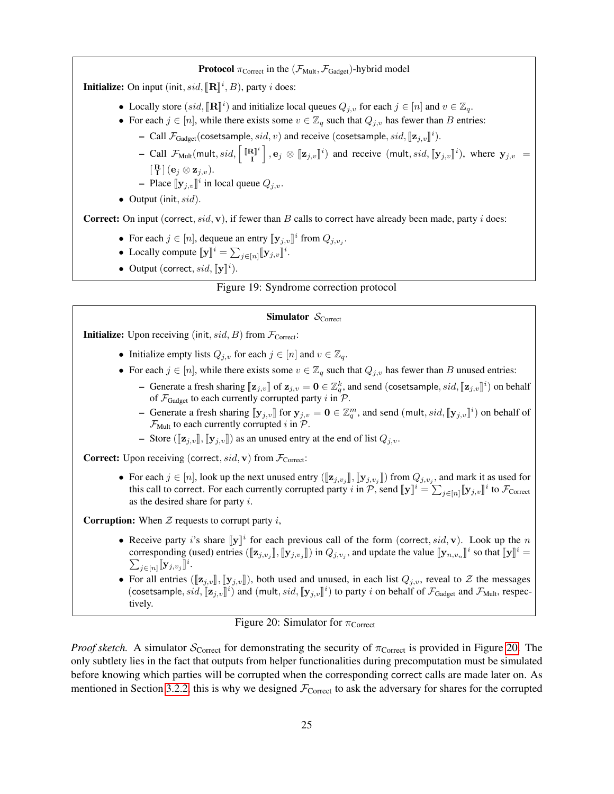**Protocol**  $\pi_{\text{Correct}}$  in the  $(\mathcal{F}_{\text{Mult}}, \mathcal{F}_{\text{Gadget}})$ -hybrid model

**Initialize:** On input (init,  $sid$ ,  $[\mathbb{R}]$ <sup>*i*</sup>, *B*), party *i* does:

- Locally store  $(sid, [\mathbb{R}]]^i$  and initialize local queues  $Q_{j,v}$  for each  $j \in [n]$  and  $v \in \mathbb{Z}_q$ .
- For each  $j \in [n]$ , while there exists some  $v \in \mathbb{Z}_q$  such that  $Q_{j,v}$  has fewer than B entries:
	- Call  $\mathcal{F}_{\text{Gadget}}(\text{cosetsample}, sid, v)$  and receive (cosetsample,  $sid, \llbracket \mathbf{z}_{j,v} \rrbracket^i)$ .
	- Call  $\mathcal{F}_{\text{Mult}}(\text{mult}, sid, \lceil \frac{[\mathbf{R}]}{I}]$  $\mathbf{E}[\mathbf{x}_j]$ ,  $\mathbf{e}_j \otimes [\![\mathbf{z}_{j,v}]\!]^i$  and receive (mult,  $sid, [\![\mathbf{y}_{j,v}]\!]^i$ ), where  $\mathbf{y}_{j,v}$  =  $[\, {\bf R} \,] \, ({\bf e}_j \otimes {\bf z}_{j,v}).$

- Place  $[\mathbf{y}_{j,v}]^i$  in local queue  $Q_{j,v}$ .

• Output (init,  $sid$ ).

**Correct:** On input (correct,  $sid$ , **v**), if fewer than B calls to correct have already been made, party i does:

- For each  $j \in [n]$ , dequeue an entry  $[\mathbf{y}_{j,v}]^i$  from  $Q_{j,v_j}$ .
- Locally compute  $[\![\mathbf{y}]\!]^i = \sum_{j \in [n]} [\![\mathbf{y}_{j,v}]\!]^i$ .
- Output (correct,  $sid$ ,  $[\![\mathbf{y}]\!]^i$ ).

#### Figure 19: Syndrome correction protocol

#### <span id="page-25-0"></span>Simulator  $S_{\text{Correct}}$

**Initialize:** Upon receiving (init,  $sid$ , B) from  $\mathcal{F}_{\text{Correct}}$ :

- Initialize empty lists  $Q_{j,v}$  for each  $j \in [n]$  and  $v \in \mathbb{Z}_q$ .
- For each  $j \in [n]$ , while there exists some  $v \in \mathbb{Z}_q$  such that  $Q_{j,v}$  has fewer than B unused entries:
	- Generate a fresh sharing  $[\mathbf{z}_{j,v}]$  of  $\mathbf{z}_{j,v} = \mathbf{0} \in \mathbb{Z}_q^k$ , and send (cosetsample,  $sid$ ,  $[\mathbf{z}_{j,v}]^i$ ) on behalf of  $\mathcal{F}_{\text{Gadget}}$  to each currently corrupted party i in  $\mathcal{P}$ .
	- Generate a fresh sharing  $[\![\mathbf{y}_{j,v}]\!]$  for  $\mathbf{y}_{j,v} = \mathbf{0} \in \mathbb{Z}_q^m$ , and send  $(\text{mult}, sid, [\![\mathbf{y}_{j,v}]\!]^i)$  on behalf of  $\mathcal{F}_{\text{Mult}}$  to each currently corrupted i in  $\mathcal{P}$ .
	- Store ( $[\mathbf{z}_i, v], [\mathbf{y}_i, v]$ ) as an unused entry at the end of list  $Q_i, v$ .

**Correct:** Upon receiving (correct,  $sid$ , **v**) from  $\mathcal{F}_{\text{Correct}}$ :

• For each  $j \in [n]$ , look up the next unused entry  $([\![\mathbf{z}_{j,v_j}]\!],[\![\mathbf{y}_{j,v_j}]\!])$  from  $Q_{j,v_j}$ , and mark it as used for this call to correct. For each currently corrunted party in  $\mathcal{D}$  cand  $[\![\mathbf{x}]\!]$ ,  $[\![\mathbf{x}_j]\!]$ this call to correct. For each currently corrupted party i in  $\mathcal{P}$ , send  $[\![\mathbf{y}]\!]^i = \sum_{j \in [n]} [\![\mathbf{y}_{j,v}]\!]^i$  to  $\mathcal{F}_{\text{Correct}}$ as the desired share for party i.

**Corruption:** When  $\mathcal{Z}$  requests to corrupt party i,

- Receive party i's share  $[\![\mathbf{y}]\!]^i$  for each previous call of the form (correct, sid, v). Look up the n<br>corresponding (used) entries ( $[\![\mathbf{z} \cdot \cdot \cdot]]$  in  $\Omega$ , and undate the value  $[\![\mathbf{w} \cdot \cdot \cdot]]^i$  so that  $[\![\mathbf$ corresponding (used) entries  $(\llbracket \mathbf{z}_{j,v_j} \rrbracket, \llbracket \mathbf{y}_{j,v_j} \rrbracket)$  in  $Q_{j,v_j}$ , and update the value  $\llbracket \mathbf{y}_{n,v_n} \rrbracket$  $i$  so that  $[\![\mathbf{y}]\!]^i =$  $\sum_{j\in [n]} [\![\mathbf{y}_{j,v_j}]\!]$ i .
- For all entries  $(\llbracket \mathbf{z}_{j,v} \rrbracket, \llbracket \mathbf{y}_{j,v} \rrbracket)$ , both used and unused, in each list  $Q_{j,v}$ , reveal to  $\mathcal Z$  the messages (cosetsample,  $sid$ ,  $[\![\mathbf{z}_{j,v}]\!]^i$ ) and (mult,  $sid$ ,  $[\![\mathbf{y}_{j,v}]\!]^i$ ) to party i on behalf of  $\mathcal{F}_{Gadget}$  and  $\mathcal{F}_{Mult}$ , respectively. tively.

<span id="page-25-1"></span>

*Proof sketch.* A simulator  $S_{\text{Correct}}$  for demonstrating the security of  $\pi_{\text{Correct}}$  is provided in Figure [20.](#page-25-1) The only subtlety lies in the fact that outputs from helper functionalities during precomputation must be simulated before knowing which parties will be corrupted when the corresponding correct calls are made later on. As mentioned in Section [3.2.2,](#page-11-1) this is why we designed  $\mathcal{F}_{\text{Correct}}$  to ask the adversary for shares for the corrupted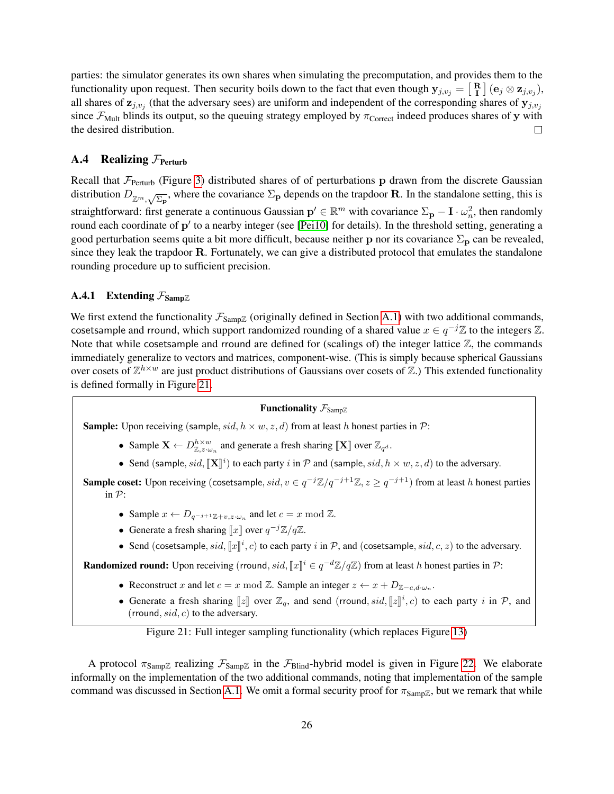parties: the simulator generates its own shares when simulating the precomputation, and provides them to the functionality upon request. Then security boils down to the fact that even though  $y_{j,v_j} = \begin{bmatrix} R \\ I \end{bmatrix} (e_j \otimes z_{j,v_j}),$ all shares of  $z_{j,v_j}$  (that the adversary sees) are uniform and independent of the corresponding shares of  $y_{j,v_j}$ since  $\mathcal{F}_{Mult}$  blinds its output, so the queuing strategy employed by  $\pi_{Correct}$  indeed produces shares of y with the desired distribution.

# <span id="page-26-0"></span>A.4 Realizing  $\mathcal{F}_{\text{Perturb}}$

Recall that  $\mathcal{F}_{Perturb}$  (Figure [3\)](#page-11-0) distributed shares of of perturbations p drawn from the discrete Gaussian distribution  $D_{\mathbb{Z}^m,\sqrt{\Sigma_{\mathbf{P}}}}$ , where the covariance  $\Sigma_{\mathbf{p}}$  depends on the trapdoor **R**. In the standalone setting, this is straightforward: first generate a continuous Gaussian  $p' \in \mathbb{R}^m$  with covariance  $\Sigma_p - I \cdot \omega_n^2$ , then randomly round each coordinate of p' to a nearby integer (see [\[Pei10\]](#page-19-5) for details). In the threshold setting, generating a good perturbation seems quite a bit more difficult, because neither p nor its covariance  $\Sigma_{\bf p}$  can be revealed, since they leak the trapdoor R. Fortunately, we can give a distributed protocol that emulates the standalone rounding procedure up to sufficient precision.

## <span id="page-26-1"></span>**A.4.1** Extending  $\mathcal{F}_{\text{Samp}\mathbb{Z}}$

We first extend the functionality  $\mathcal{F}_{SampZ}$  (originally defined in Section [A.1\)](#page-20-5) with two additional commands, cosetsample and rround, which support randomized rounding of a shared value  $x \in q^{-j}\mathbb{Z}$  to the integers  $\mathbb{Z}$ . Note that while cosetsample and rround are defined for (scalings of) the integer lattice  $\mathbb{Z}$ , the commands immediately generalize to vectors and matrices, component-wise. (This is simply because spherical Gaussians over cosets of  $\mathbb{Z}^{h \times w}$  are just product distributions of Gaussians over cosets of  $\mathbb{Z}$ .) This extended functionality is defined formally in Figure [21.](#page-26-2)

# Functionality  $\mathcal{F}_{\text{Samp}\mathbb{Z}}$

**Sample:** Upon receiving (sample, sid,  $h \times w$ , z, d) from at least h honest parties in P:

- Sample  $\mathbf{X} \leftarrow D_{\mathbb{Z},z\cdot\omega_n}^{h\times w}$  and generate a fresh sharing  $[\![\mathbf{X}]\!]$  over  $\mathbb{Z}_{q^d}$ .
- Send (sample,  $sid$ ,  $[\mathbf{X}]^i$ ) to each party i in  $P$  and (sample,  $sid$ ,  $h \times w$ ,  $z$ ,  $d$ ) to the adversary.

**Sample coset:** Upon receiving (cosetsample,  $sid, v \in q^{-j}\mathbb{Z}/q^{-j+1}\mathbb{Z}, z \geq q^{-j+1}$ ) from at least h honest parties in P:

- Sample  $x \leftarrow D_{q^{-j+1}\mathbb{Z}+v,z\cdot\omega_n}$  and let  $c = x \mod \mathbb{Z}$ .
- Generate a fresh sharing  $\llbracket x \rrbracket$  over  $q^{-j}\mathbb{Z}/q\mathbb{Z}$ .
- Send (cosetsample,  $sid$ ,  $[[x]]^i$ , c) to each party i in P, and (cosetsample,  $sid$ , c, z) to the adversary.

**Randomized round:** Upon receiving (rround, sid,  $[x]^i \in q^{-d}\mathbb{Z}/q\mathbb{Z}$ ) from at least h honest parties in  $\mathcal{P}$ :

- Reconstruct x and let  $c = x \mod \mathbb{Z}$ . Sample an integer  $z \leftarrow x + D_{\mathbb{Z}-c,d\cdot\omega_n}$ .
- Generate a fresh sharing  $[z]$  over  $\mathbb{Z}_q$ , and send (rround, sid,  $[z]$ <sup>i</sup>, c) to each party i in  $\mathcal{P}$ , and (rround, sid, s) to the educations (rround,  $sid, c$ ) to the adversary.

# <span id="page-26-2"></span>Figure 21: Full integer sampling functionality (which replaces Figure [13\)](#page-21-2)

A protocol  $\pi_{Samp\mathbb{Z}}$  realizing  $\mathcal{F}_{Samp\mathbb{Z}}$  in the  $\mathcal{F}_{Blin}$ -hybrid model is given in Figure [22.](#page-28-0) We elaborate informally on the implementation of the two additional commands, noting that implementation of the sample command was discussed in Section [A.1.](#page-20-5) We omit a formal security proof for  $\pi_{SampZ}$ , but we remark that while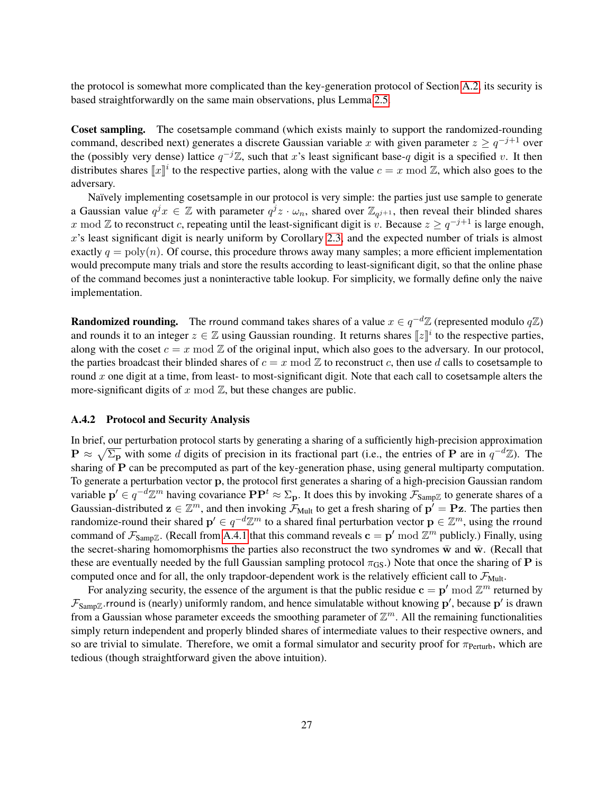the protocol is somewhat more complicated than the key-generation protocol of Section [A.2,](#page-22-0) its security is based straightforwardly on the same main observations, plus Lemma [2.5.](#page-5-1)

Coset sampling. The cosetsample command (which exists mainly to support the randomized-rounding command, described next) generates a discrete Gaussian variable x with given parameter  $z \geq q^{-j+1}$  over the (possibly very dense) lattice  $q^{-j}\mathbb{Z}$ , such that x's least significant base-q digit is a specified v. It then distributes shares  $\llbracket x \rrbracket^i$  to the respective parties, along with the value  $c = x \mod \mathbb{Z}$ , which also goes to the adversary.

Naïvely implementing cosetsample in our protocol is very simple: the parties just use sample to generate a Gaussian value  $q^j x \in \mathbb{Z}$  with parameter  $q^j z \cdot \omega_n$ , shared over  $\mathbb{Z}_{q^{j+1}}$ , then reveal their blinded shares x mod Z to reconstruct c, repeating until the least-significant digit is v. Because  $z \geq q^{-j+1}$  is large enough,  $x$ 's least significant digit is nearly uniform by Corollary [2.3,](#page-5-2) and the expected number of trials is almost exactly  $q = \text{poly}(n)$ . Of course, this procedure throws away many samples; a more efficient implementation would precompute many trials and store the results according to least-significant digit, so that the online phase of the command becomes just a noninteractive table lookup. For simplicity, we formally define only the naive implementation.

**Randomized rounding.** The rround command takes shares of a value  $x \in q^{-d}\mathbb{Z}$  (represented modulo  $q\mathbb{Z}$ ) and rounds it to an integer  $z \in \mathbb{Z}$  using Gaussian rounding. It returns shares  $[z]$ <sup>*i*</sup> to the respective parties, along with the coset  $c = x \mod \mathbb{Z}$  of the original input, which also goes to the adversary. In our protocol, the parties broadcast their blinded shares of  $c = x \mod \mathbb{Z}$  to reconstruct c, then use d calls to cosetsample to round x one digit at a time, from least- to most-significant digit. Note that each call to cosetsample alters the more-significant digits of x mod  $\mathbb{Z}$ , but these changes are public.

### A.4.2 Protocol and Security Analysis

In brief, our perturbation protocol starts by generating a sharing of a sufficiently high-precision approximation  $\mathbf{P} \approx \sqrt{\Sigma_{\mathbf{p}}}$  with some d digits of precision in its fractional part (i.e., the entries of  $\mathbf{P}$  are in  $q^{-d}\mathbb{Z}$ ). The sharing of P can be precomputed as part of the key-generation phase, using general multiparty computation. To generate a perturbation vector p, the protocol first generates a sharing of a high-precision Gaussian random variable  $p' \in q^{-d}\mathbb{Z}^m$  having covariance  $\mathbf{P}\mathbf{P}^t \approx \Sigma_{\mathbf{p}}$ . It does this by invoking  $\mathcal{F}_{\text{Samp}\mathbb{Z}}$  to generate shares of a Gaussian-distributed  $z \in \mathbb{Z}^m$ , and then invoking  $\mathcal{F}_{\text{Multi}}$  to get a fresh sharing of  $p' = Pz$ . The parties then randomize-round their shared  $p' \in q^{-d}\mathbb{Z}^m$  to a shared final perturbation vector  $p \in \mathbb{Z}^m$ , using the rround command of  $\mathcal{F}_{Samp\mathbb{Z}}$ . (Recall from [A.4.1](#page-26-1) that this command reveals  $\mathbf{c} = \mathbf{p}'$  mod  $\mathbb{Z}^m$  publicly.) Finally, using the secret-sharing homomorphisms the parties also reconstruct the two syndromes  $\bar{w}$  and  $\bar{w}$ . (Recall that these are eventually needed by the full Gaussian sampling protocol  $\pi_{GS}$ .) Note that once the sharing of **P** is computed once and for all, the only trapdoor-dependent work is the relatively efficient call to  $\mathcal{F}_{\text{Mult}}$ .

For analyzing security, the essence of the argument is that the public residue  $\mathbf{c} = \mathbf{p}'$  mod  $\mathbb{Z}^m$  returned by  $\mathcal{F}_{Samp\mathbb{Z}}$ .rround is (nearly) uniformly random, and hence simulatable without knowing  $\mathbf{p}'$ , because  $\mathbf{p}'$  is drawn from a Gaussian whose parameter exceeds the smoothing parameter of  $\mathbb{Z}^m$ . All the remaining functionalities simply return independent and properly blinded shares of intermediate values to their respective owners, and so are trivial to simulate. Therefore, we omit a formal simulator and security proof for  $\pi_{Perturb}$ , which are tedious (though straightforward given the above intuition).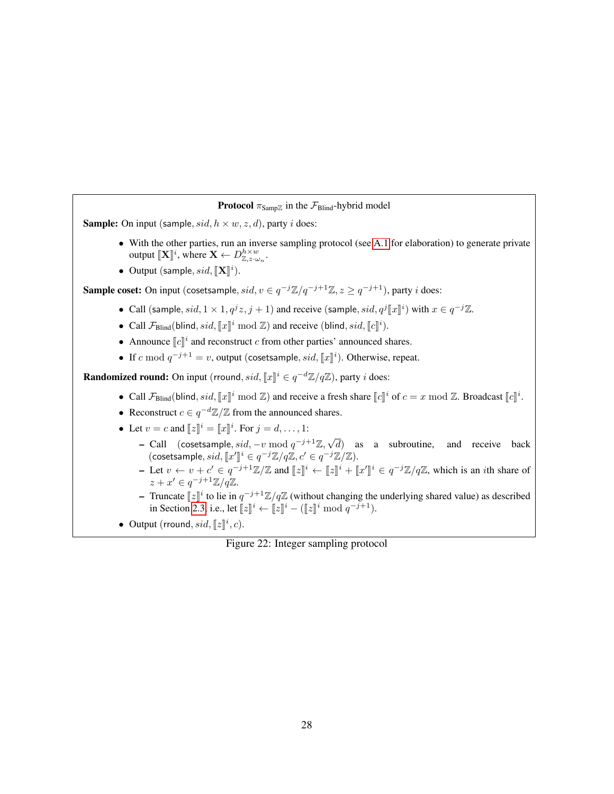```
Protocol \pi_{\text{Samp}} in the \mathcal{F}_{\text{Blind}}-hybrid model
Sample: On input (sample, sid, h \times w, z, d), party i does:
              A.1 for elaboration) to generate private
                 output [\![\mathbf{X}]\!]^i, where \mathbf{X} \leftarrow D_{\mathbb{Z},z\cdot\omega_n}^{h\times w}.
             • Output (sample, sid, [\mathbf{X}]^i).
Sample coset: On input (cosetsample, sid, v \in q^{-j}\mathbb{Z}/q^{-j+1}\mathbb{Z}, z \geq q^{-j+1}), party i does:
             • Call (sample, sid, 1 \times 1, q^j z, j+1) and receive (sample, sid, q^j [\![x]\!]^i) with x \in q^{-j}\mathbb{Z}.
             • Call \mathcal{F}_{\text{Blind}}(\text{blind}, sid, [\![x]\!]^i \bmod \mathbb{Z}) and receive (blind, sid, [\![c]\!]^i).
             • Announce \llbracket c \rrbracket^i and reconstruct c from other parties' announced shares.
             • If c mod q^{-j+1} = v, output (cosetsample, sid, [[x]]^i). Otherwise, repeat.
Randomized round: On input (rround, sid, \llbracket x \rrbracket^i \in q^{-d}\mathbb{Z}/q\mathbb{Z}), party i does:
             • Call \mathcal{F}_{\text{Blind}}(\text{blind}, sid, \llbracket x \rrbracket^i \bmod \mathbb{Z}) and receive a fresh share \llbracket c \rrbracket^i of c = x \bmod \mathbb{Z}. Broadcast \llbracket c \rrbracket^i.
             • Reconstruct c \in q^{-d}\mathbb{Z}/\mathbb{Z} from the announced shares.
             • Let v = c and [[z]]^i = [[x]]^i. For j = d, ..., 1:
                     – Call (cosetsample, sid, –v mod q^{-j+1}\mathbb{Z}, \sqrt{q}d) as a subroutine, and receive back
                        (\text{cosetsample}, sid, \llbracket x' \rrbracket^i \in q^{-j}\mathbb{Z}/q\mathbb{Z}, c' \in q^{-j}\mathbb{Z}/\mathbb{Z}).- Let v \leftarrow v + c' \in q^{-j+1}\mathbb{Z}/\mathbb{Z} and [\![z]\!]^i \leftarrow [\![z]\!]^i + [\![x']\!]^i\mathbb{I}^i ∈ q^{-j}\mathbb{Z}/q\mathbb{Z}, which is an ith share of
                         z + x' \in q^{-j+1}\mathbb{Z}/q\mathbb{Z}.– Truncate [z]^i to lie in q^{-j+1}\mathbb{Z}/q\mathbb{Z} (without changing the underlying shared value) as described<br>in Section 2.3, i.e., let \mathbb{Z}^{\mathbb{N}^i} \mathbb{Z}^{\mathbb{N}^i} (\mathbb{Z}^{\mathbb{N}^i} mod q^{-j+1})
                          2.3, i.e., let [z]^i \leftarrow [z]^i - ([z]^i \mod q^{-j+1}).• Output (rround, sid, [z]^i, c).
```

```
Figure 22: Integer sampling protocol
```